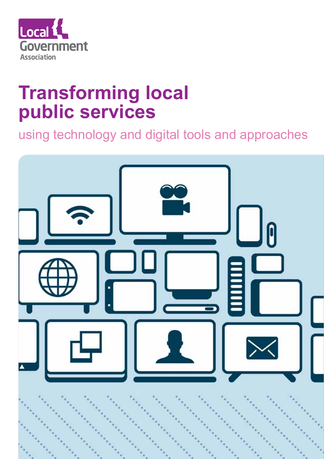

## **Transforming local public services**

using technology and digital tools and approaches

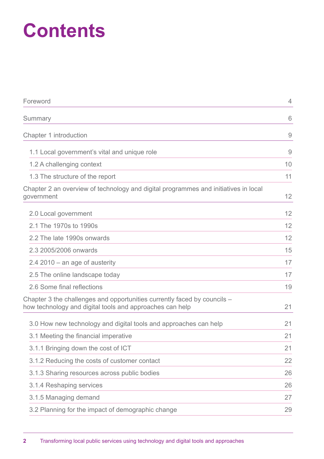# **Contents**

| Foreword                                                                                                                             | $\overline{4}$ |
|--------------------------------------------------------------------------------------------------------------------------------------|----------------|
| Summary                                                                                                                              | 6              |
| Chapter 1 introduction                                                                                                               | 9              |
| 1.1 Local government's vital and unique role                                                                                         | 9              |
| 1.2 A challenging context                                                                                                            | 10             |
| 1.3 The structure of the report                                                                                                      | 11             |
| Chapter 2 an overview of technology and digital programmes and initiatives in local<br>government                                    | 12             |
| 2.0 Local government                                                                                                                 | 12             |
| 2.1 The 1970s to 1990s                                                                                                               | 12             |
| 2.2 The late 1990s onwards                                                                                                           | 12             |
| 2.3 2005/2006 onwards                                                                                                                | 15             |
| $2.4$ 2010 – an age of austerity                                                                                                     | 17             |
| 2.5 The online landscape today                                                                                                       | 17             |
| 2.6 Some final reflections                                                                                                           | 19             |
| Chapter 3 the challenges and opportunities currently faced by councils -<br>how technology and digital tools and approaches can help | 21             |
| 3.0 How new technology and digital tools and approaches can help                                                                     | 21             |
| 3.1 Meeting the financial imperative                                                                                                 | 21             |
| 3.1.1 Bringing down the cost of ICT                                                                                                  | 21             |
| 3.1.2 Reducing the costs of customer contact                                                                                         | 22             |
| 3.1.3 Sharing resources across public bodies                                                                                         | 26             |
| 3.1.4 Reshaping services                                                                                                             | 26             |
| 3.1.5 Managing demand                                                                                                                | 27             |
| 3.2 Planning for the impact of demographic change                                                                                    | 29             |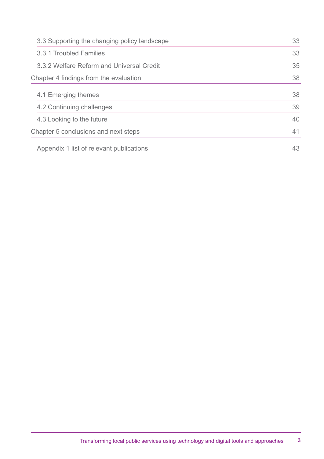| 3.3 Supporting the changing policy landscape |    |
|----------------------------------------------|----|
| 3.3.1 Troubled Families                      | 33 |
| 3.3.2 Welfare Reform and Universal Credit    | 35 |
| Chapter 4 findings from the evaluation       | 38 |
| 4.1 Emerging themes                          | 38 |
| 4.2 Continuing challenges                    | 39 |
| 4.3 Looking to the future                    | 40 |
| Chapter 5 conclusions and next steps         | 41 |
| Appendix 1 list of relevant publications     | 43 |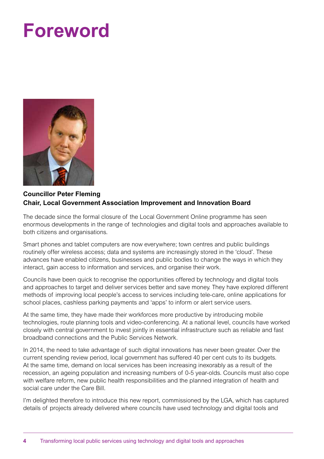# **Foreword**



#### **Councillor Peter Fleming Chair, Local Government Association Improvement and Innovation Board**

The decade since the formal closure of the Local Government Online programme has seen enormous developments in the range of technologies and digital tools and approaches available to both citizens and organisations.

Smart phones and tablet computers are now everywhere; town centres and public buildings routinely offer wireless access; data and systems are increasingly stored in the 'cloud'. These advances have enabled citizens, businesses and public bodies to change the ways in which they interact, gain access to information and services, and organise their work.

Councils have been quick to recognise the opportunities offered by technology and digital tools and approaches to target and deliver services better and save money. They have explored different methods of improving local people's access to services including tele-care, online applications for school places, cashless parking payments and 'apps' to inform or alert service users.

At the same time, they have made their workforces more productive by introducing mobile technologies, route planning tools and video-conferencing. At a national level, councils have worked closely with central government to invest jointly in essential infrastructure such as reliable and fast broadband connections and the Public Services Network.

In 2014, the need to take advantage of such digital innovations has never been greater. Over the current spending review period, local government has suffered 40 per cent cuts to its budgets. At the same time, demand on local services has been increasing inexorably as a result of the recession, an ageing population and increasing numbers of 0-5 year-olds. Councils must also cope with welfare reform, new public health responsibilities and the planned integration of health and social care under the Care Bill.

I'm delighted therefore to introduce this new report, commissioned by the LGA, which has captured details of projects already delivered where councils have used technology and digital tools and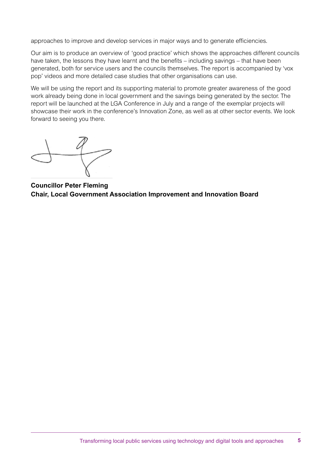approaches to improve and develop services in major ways and to generate efficiencies.

Our aim is to produce an overview of 'good practice' which shows the approaches different councils have taken, the lessons they have learnt and the benefits – including savings – that have been generated, both for service users and the councils themselves. The report is accompanied by 'vox pop' videos and more detailed case studies that other organisations can use.

We will be using the report and its supporting material to promote greater awareness of the good work already being done in local government and the savings being generated by the sector. The report will be launched at the LGA Conference in July and a range of the exemplar projects will showcase their work in the conference's Innovation Zone, as well as at other sector events. We look forward to seeing you there.

**Councillor Peter Fleming Chair, Local Government Association Improvement and Innovation Board**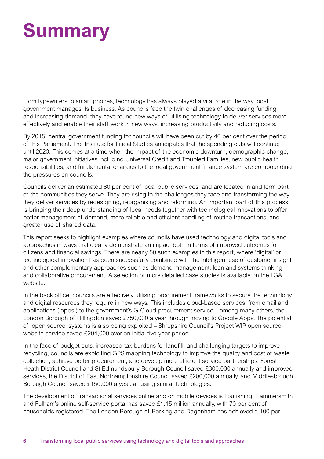# **Summary**

From typewriters to smart phones, technology has always played a vital role in the way local government manages its business. As councils face the twin challenges of decreasing funding and increasing demand, they have found new ways of utilising technology to deliver services more effectively and enable their staff work in new ways, increasing productivity and reducing costs.

By 2015, central government funding for councils will have been cut by 40 per cent over the period of this Parliament. The Institute for Fiscal Studies anticipates that the spending cuts will continue until 2020. This comes at a time when the impact of the economic downturn, demographic change, major government initiatives including Universal Credit and Troubled Families, new public health responsibilities, and fundamental changes to the local government finance system are compounding the pressures on councils.

Councils deliver an estimated 80 per cent of local public services, and are located in and form part of the communities they serve. They are rising to the challenges they face and transforming the way they deliver services by redesigning, reorganising and reforming. An important part of this process is bringing their deep understanding of local needs together with technological innovations to offer better management of demand, more reliable and efficient handling of routine transactions, and greater use of shared data.

This report seeks to highlight examples where councils have used technology and digital tools and approaches in ways that clearly demonstrate an impact both in terms of improved outcomes for citizens and financial savings. There are nearly 50 such examples in this report, where 'digital' or technological innovation has been successfully combined with the intelligent use of customer insight and other complementary approaches such as demand management, lean and systems thinking and collaborative procurement. A selection of more detailed case studies is available on the LGA website.

In the back office, councils are effectively utilising procurement frameworks to secure the technology and digital resources they require in new ways. This includes cloud-based services, from email and applications ('apps') to the government's G-Cloud procurement service – among many others, the London Borough of Hillingdon saved £750,000 a year through moving to Google Apps. The potential of 'open source' systems is also being exploited – Shropshire Council's Project WIP open source website service saved £204,000 over an initial five-year period.

In the face of budget cuts, increased tax burdens for landfill, and challenging targets to improve recycling, councils are exploiting GPS mapping technology to improve the quality and cost of waste collection, achieve better procurement, and develop more efficient service partnerships. Forest Heath District Council and St Edmundsbury Borough Council saved £300,000 annually and improved services, the District of East Northamptonshire Council saved £200,000 annually, and Middlesbrough Borough Council saved £150,000 a year, all using similar technologies.

The development of transactional services online and on mobile devices is flourishing. Hammersmith and Fulham's online self-service portal has saved £1.15 million annually, with 70 per cent of households registered. The London Borough of Barking and Dagenham has achieved a 100 per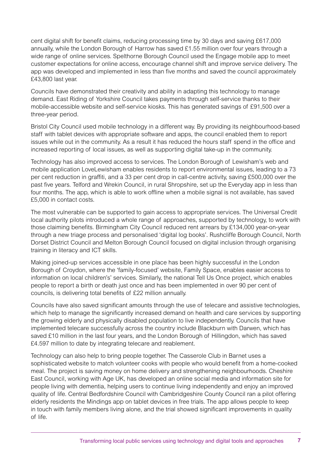cent digital shift for benefit claims, reducing processing time by 30 days and saving £617,000 annually, while the London Borough of Harrow has saved £1.55 million over four years through a wide range of online services. Spelthorne Borough Council used the Engage mobile app to meet customer expectations for online access, encourage channel shift and improve service delivery. The app was developed and implemented in less than five months and saved the council approximately £43,800 last year.

Councils have demonstrated their creativity and ability in adapting this technology to manage demand. East Riding of Yorkshire Council takes payments through self-service thanks to their mobile-accessible website and self-service kiosks. This has generated savings of £91,500 over a three-year period.

Bristol City Council used mobile technology in a different way. By providing its neighbourhood-based staff with tablet devices with appropriate software and apps, the council enabled them to report issues while out in the community. As a result it has reduced the hours staff spend in the office and increased reporting of local issues, as well as supporting digital take-up in the community.

Technology has also improved access to services. The London Borough of Lewisham's web and mobile application LoveLewisham enables residents to report environmental issues, leading to a 73 per cent reduction in graffiti, and a 33 per cent drop in call-centre activity, saving £500,000 over the past five years. Telford and Wrekin Council, in rural Shropshire, set up the Everyday app in less than four months. The app, which is able to work offline when a mobile signal is not available, has saved £5,000 in contact costs.

The most vulnerable can be supported to gain access to appropriate services. The Universal Credit local authority pilots introduced a whole range of approaches, supported by technology, to work with those claiming benefits. Birmingham City Council reduced rent arrears by £134,000 year-on-year through a new triage process and personalised 'digital log books'. Rushcliffe Borough Council, North Dorset District Council and Melton Borough Council focused on digital inclusion through organising training in literacy and ICT skills.

Making joined-up services accessible in one place has been highly successful in the London Borough of Croydon, where the 'family-focused' website, Family Space, enables easier access to information on local children's' services. Similarly, the national Tell Us Once project, which enables people to report a birth or death just once and has been implemented in over 90 per cent of councils, is delivering total benefits of £22 million annually.

Councils have also saved significant amounts through the use of telecare and assistive technologies, which help to manage the significantly increased demand on health and care services by supporting the growing elderly and physically disabled population to live independently. Councils that have implemented telecare successfully across the country include Blackburn with Darwen, which has saved £10 million in the last four years, and the London Borough of Hillingdon, which has saved £4.597 million to date by integrating telecare and reablement.

Technology can also help to bring people together. The Casserole Club in Barnet uses a sophisticated website to match volunteer cooks with people who would benefit from a home-cooked meal. The project is saving money on home delivery and strengthening neighbourhoods. Cheshire East Council, working with Age UK, has developed an online social media and information site for people living with dementia, helping users to continue living independently and enjoy an improved quality of life. Central Bedfordshire Council with Cambridgeshire County Council ran a pilot offering elderly residents the Mindings app on tablet devices in free trials. The app allows people to keep in touch with family members living alone, and the trial showed significant improvements in quality of life.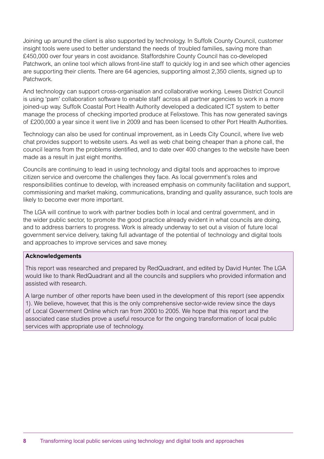Joining up around the client is also supported by technology. In Suffolk County Council, customer insight tools were used to better understand the needs of troubled families, saving more than £450,000 over four years in cost avoidance. Staffordshire County Council has co-developed Patchwork, an online tool which allows front-line staff to quickly log in and see which other agencies are supporting their clients. There are 64 agencies, supporting almost 2,350 clients, signed up to Patchwork.

And technology can support cross-organisation and collaborative working. Lewes District Council is using 'pam' collaboration software to enable staff across all partner agencies to work in a more joined-up way. Suffolk Coastal Port Health Authority developed a dedicated ICT system to better manage the process of checking imported produce at Felixstowe. This has now generated savings of £200,000 a year since it went live in 2009 and has been licensed to other Port Health Authorities.

Technology can also be used for continual improvement, as in Leeds City Council, where live web chat provides support to website users. As well as web chat being cheaper than a phone call, the council learns from the problems identified, and to date over 400 changes to the website have been made as a result in just eight months.

Councils are continuing to lead in using technology and digital tools and approaches to improve citizen service and overcome the challenges they face. As local government's roles and responsibilities continue to develop, with increased emphasis on community facilitation and support, commissioning and market making, communications, branding and quality assurance, such tools are likely to become ever more important.

The LGA will continue to work with partner bodies both in local and central government, and in the wider public sector, to promote the good practice already evident in what councils are doing, and to address barriers to progress. Work is already underway to set out a vision of future local government service delivery, taking full advantage of the potential of technology and digital tools and approaches to improve services and save money.

#### **Acknowledgements**

This report was researched and prepared by RedQuadrant, and edited by David Hunter. The LGA would like to thank RedQuadrant and all the councils and suppliers who provided information and assisted with research.

A large number of other reports have been used in the development of this report (see appendix 1). We believe, however, that this is the only comprehensive sector-wide review since the days of Local Government Online which ran from 2000 to 2005. We hope that this report and the associated case studies prove a useful resource for the ongoing transformation of local public services with appropriate use of technology.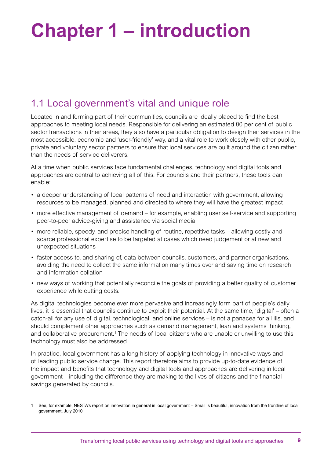# **Chapter 1 – introduction**

## 1.1 Local government's vital and unique role

Located in and forming part of their communities, councils are ideally placed to find the best approaches to meeting local needs. Responsible for delivering an estimated 80 per cent of public sector transactions in their areas, they also have a particular obligation to design their services in the most accessible, economic and 'user-friendly' way, and a vital role to work closely with other public, private and voluntary sector partners to ensure that local services are built around the citizen rather than the needs of service deliverers.

At a time when public services face fundamental challenges, technology and digital tools and approaches are central to achieving all of this. For councils and their partners, these tools can enable:

- a deeper understanding of local patterns of need and interaction with government, allowing resources to be managed, planned and directed to where they will have the greatest impact
- more effective management of demand for example, enabling user self-service and supporting peer-to-peer advice-giving and assistance via social media
- more reliable, speedy, and precise handling of routine, repetitive tasks allowing costly and scarce professional expertise to be targeted at cases which need judgement or at new and unexpected situations
- faster access to, and sharing of, data between councils, customers, and partner organisations, avoiding the need to collect the same information many times over and saving time on research and information collation
- new ways of working that potentially reconcile the goals of providing a better quality of customer experience while cutting costs.

As digital technologies become ever more pervasive and increasingly form part of people's daily lives, it is essential that councils continue to exploit their potential. At the same time, 'digital' – often a catch-all for any use of digital, technological, and online services – is not a panacea for all ills, and should complement other approaches such as demand management, lean and systems thinking, and collaborative procurement.<sup>1</sup> The needs of local citizens who are unable or unwilling to use this technology must also be addressed.

In practice, local government has a long history of applying technology in innovative ways and of leading public service change. This report therefore aims to provide up-to-date evidence of the impact and benefits that technology and digital tools and approaches are delivering in local government – including the difference they are making to the lives of citizens and the financial savings generated by councils.

<sup>1</sup> See, for example, NESTA's report on innovation in general in local government – Small is beautiful, innovation from the frontline of local government, July 2010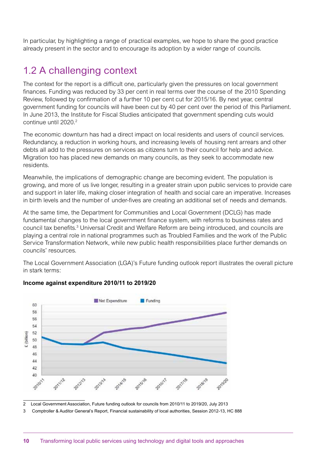In particular, by highlighting a range of practical examples, we hope to share the good practice already present in the sector and to encourage its adoption by a wider range of councils.

## 1.2 A challenging context

The context for the report is a difficult one, particularly given the pressures on local government finances. Funding was reduced by 33 per cent in real terms over the course of the 2010 Spending Review, followed by confirmation of a further 10 per cent cut for 2015/16. By next year, central government funding for councils will have been cut by 40 per cent over the period of this Parliament. In June 2013, the Institute for Fiscal Studies anticipated that government spending cuts would continue until 2020.2

The economic downturn has had a direct impact on local residents and users of council services. Redundancy, a reduction in working hours, and increasing levels of housing rent arrears and other debts all add to the pressures on services as citizens turn to their council for help and advice. Migration too has placed new demands on many councils, as they seek to accommodate new residents.

Meanwhile, the implications of demographic change are becoming evident. The population is growing, and more of us live longer, resulting in a greater strain upon public services to provide care and support in later life, making closer integration of health and social care an imperative. Increases in birth levels and the number of under-fives are creating an additional set of needs and demands.

At the same time, the Department for Communities and Local Government (DCLG) has made fundamental changes to the local government finance system, with reforms to business rates and council tax benefits.<sup>3</sup> Universal Credit and Welfare Reform are being introduced, and councils are playing a central role in national programmes such as Troubled Families and the work of the Public Service Transformation Network, while new public health responsibilities place further demands on councils' resources.

The Local Government Association (LGA)'s Future funding outlook report illustrates the overall picture in stark terms:



#### **Income against expenditure 2010/11 to 2019/20**

2 Local Government Association, Future funding outlook for councils from 2010/11 to 2019/20, July 2013

3 Comptroller & Auditor General's Report, Financial sustainability of local authorities, Session 2012-13, HC 888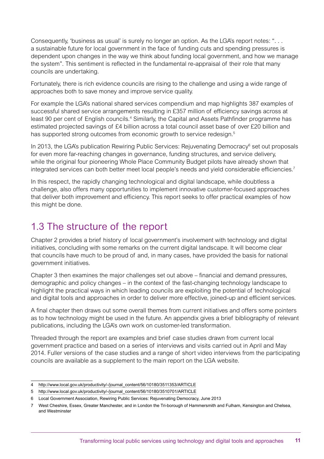Consequently, 'business as usual' is surely no longer an option. As the LGA's report notes: ". . . a sustainable future for local government in the face of funding cuts and spending pressures is dependent upon changes in the way we think about funding local government, and how we manage the system". This sentiment is reflected in the fundamental re-appraisal of their role that many councils are undertaking.

Fortunately, there is rich evidence councils are rising to the challenge and using a wide range of approaches both to save money and improve service quality.

For example the LGA's national shared services compendium and map highlights 387 examples of successful shared service arrangements resulting in £357 million of efficiency savings across at least 90 per cent of English councils.<sup>4</sup> Similarly, the Capital and Assets Pathfinder programme has estimated projected savings of £4 billion across a total council asset base of over £20 billion and has supported strong outcomes from economic growth to service redesign.<sup>5</sup>

In 2013, the LGA's publication Rewiring Public Services: Rejuvenating Democracy<sup>6</sup> set out proposals for even more far-reaching changes in governance, funding structures, and service delivery, while the original four pioneering Whole Place Community Budget pilots have already shown that integrated services can both better meet local people's needs and yield considerable efficiencies.<sup>7</sup>

In this respect, the rapidly changing technological and digital landscape, while doubtless a challenge, also offers many opportunities to implement innovative customer-focused approaches that deliver both improvement and efficiency. This report seeks to offer practical examples of how this might be done.

## 1.3 The structure of the report

Chapter 2 provides a brief history of local government's involvement with technology and digital initiatives, concluding with some remarks on the current digital landscape. It will become clear that councils have much to be proud of and, in many cases, have provided the basis for national government initiatives.

Chapter 3 then examines the major challenges set out above – financial and demand pressures, demographic and policy changes – in the context of the fast-changing technology landscape to highlight the practical ways in which leading councils are exploiting the potential of technological and digital tools and approaches in order to deliver more effective, joined-up and efficient services.

A final chapter then draws out some overall themes from current initiatives and offers some pointers as to how technology might be used in the future. An appendix gives a brief bibliography of relevant publications, including the LGA's own work on customer-led transformation.

Threaded through the report are examples and brief case studies drawn from current local government practice and based on a series of interviews and visits carried out in April and May 2014. Fuller versions of the case studies and a range of short video interviews from the participating councils are available as a supplement to the main report on the LGA website.

<sup>4</sup> http://www.local.gov.uk/productivity/-/journal\_content/56/10180/3511353/ARTICLE

<sup>5</sup> http://www.local.gov.uk/productivity/-/journal\_content/56/10180/3510701/ARTICLE

<sup>6</sup> Local Government Association, Rewiring Public Services: Rejuvenating Democracy, June 2013

<sup>7</sup> West Cheshire, Essex, Greater Manchester, and in London the Tri-borough of Hammersmith and Fulham, Kensington and Chelsea, and Westminster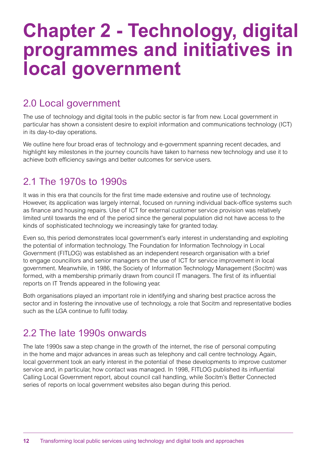## **Chapter 2 - Technology, digital programmes and initiatives in local government**

## 2.0 Local government

The use of technology and digital tools in the public sector is far from new. Local government in particular has shown a consistent desire to exploit information and communications technology (ICT) in its day-to-day operations.

We outline here four broad eras of technology and e-government spanning recent decades, and highlight key milestones in the journey councils have taken to harness new technology and use it to achieve both efficiency savings and better outcomes for service users.

### 2.1 The 1970s to 1990s

It was in this era that councils for the first time made extensive and routine use of technology. However, its application was largely internal, focused on running individual back-office systems such as finance and housing repairs. Use of ICT for external customer service provision was relatively limited until towards the end of the period since the general population did not have access to the kinds of sophisticated technology we increasingly take for granted today.

Even so, this period demonstrates local government's early interest in understanding and exploiting the potential of information technology. The Foundation for Information Technology in Local Government (FITLOG) was established as an independent research organisation with a brief to engage councillors and senior managers on the use of ICT for service improvement in local government. Meanwhile, in 1986, the Society of Information Technology Management (Socitm) was formed, with a membership primarily drawn from council IT managers. The first of its influential reports on IT Trends appeared in the following year.

Both organisations played an important role in identifying and sharing best practice across the sector and in fostering the innovative use of technology, a role that Socitm and representative bodies such as the LGA continue to fulfil today.

## 2.2 The late 1990s onwards

The late 1990s saw a step change in the growth of the internet, the rise of personal computing in the home and major advances in areas such as telephony and call centre technology. Again, local government took an early interest in the potential of these developments to improve customer service and, in particular, how contact was managed. In 1998, FITLOG published its influential Calling Local Government report, about council call handling, while Socitm's Better Connected series of reports on local government websites also began during this period.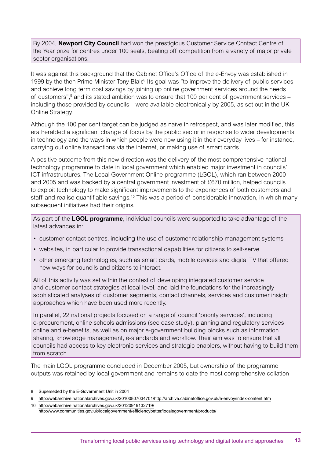By 2004, **Newport City Council** had won the prestigious Customer Service Contact Centre of the Year prize for centres under 100 seats, beating off competition from a variety of major private sector organisations.

It was against this background that the Cabinet Office's Office of the e-Envoy was established in 1999 by the then Prime Minister Tony Blair.<sup>8</sup> Its goal was "to improve the delivery of public services and achieve long term cost savings by joining up online government services around the needs of customers",<sup>9</sup> and its stated ambition was to ensure that 100 per cent of government services including those provided by councils – were available electronically by 2005, as set out in the UK Online Strategy.

Although the 100 per cent target can be judged as naïve in retrospect, and was later modified, this era heralded a significant change of focus by the public sector in response to wider developments in technology and the ways in which people were now using it in their everyday lives – for instance, carrying out online transactions via the internet, or making use of smart cards.

A positive outcome from this new direction was the delivery of the most comprehensive national technology programme to date in local government which enabled major investment in councils' ICT infrastructures. The Local Government Online programme (LGOL), which ran between 2000 and 2005 and was backed by a central government investment of £670 million, helped councils to exploit technology to make significant improvements to the experiences of both customers and staff and realise quantifiable savings.<sup>10</sup> This was a period of considerable innovation, in which many subsequent initiatives had their origins.

As part of the **LGOL programme**, individual councils were supported to take advantage of the latest advances in:

- customer contact centres, including the use of customer relationship management systems
- • websites, in particular to provide transactional capabilities for citizens to self-serve
- other emerging technologies, such as smart cards, mobile devices and digital TV that offered new ways for councils and citizens to interact.

All of this activity was set within the context of developing integrated customer service and customer contact strategies at local level, and laid the foundations for the increasingly sophisticated analyses of customer segments, contact channels, services and customer insight approaches which have been used more recently.

In parallel, 22 national projects focused on a range of council 'priority services', including e-procurement, online schools admissions (see case study), planning and regulatory services online and e-benefits, as well as on major e-government building blocks such as information sharing, knowledge management, e-standards and workflow. Their aim was to ensure that all councils had access to key electronic services and strategic enablers, without having to build them from scratch.

The main LGOL programme concluded in December 2005, but ownership of the programme outputs was retained by local government and remains to date the most comprehensive collation

<sup>8</sup> Superseded by the E-Government Unit in 2004

<sup>9</sup> http://webarchive.nationalarchives.gov.uk/20100807034701/http://archive.cabinetoffice.gov.uk/e-envoy/index-content.htm

<sup>10</sup> http://webarchive.nationalarchives.gov.uk/20120919132719/ http://www.communities.gov.uk/localgovernment/efficiencybetter/localegovernment/products/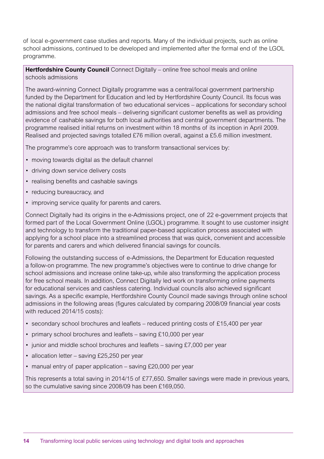of local e-government case studies and reports. Many of the individual projects, such as online school admissions, continued to be developed and implemented after the formal end of the LGOL programme.

**Hertfordshire County Council** Connect Digitally – online free school meals and online schools admissions

The award-winning Connect Digitally programme was a central/local government partnership funded by the Department for Education and led by Hertfordshire County Council. Its focus was the national digital transformation of two educational services – applications for secondary school admissions and free school meals – delivering significant customer benefits as well as providing evidence of cashable savings for both local authorities and central government departments. The programme realised initial returns on investment within 18 months of its inception in April 2009. Realised and projected savings totalled £76 million overall, against a £5.6 million investment.

The programme's core approach was to transform transactional services by:

- moving towards digital as the default channel
- driving down service delivery costs
- realising benefits and cashable savings
- reducing bureaucracy, and
- improving service quality for parents and carers.

Connect Digitally had its origins in the e-Admissions project, one of 22 e-government projects that formed part of the Local Government Online (LGOL) programme. It sought to use customer insight and technology to transform the traditional paper-based application process associated with applying for a school place into a streamlined process that was quick, convenient and accessible for parents and carers and which delivered financial savings for councils.

Following the outstanding success of e-Admissions, the Department for Education requested a follow-on programme. The new programme's objectives were to continue to drive change for school admissions and increase online take-up, while also transforming the application process for free school meals. In addition, Connect Digitally led work on transforming online payments for educational services and cashless catering. Individual councils also achieved significant savings. As a specific example, Hertfordshire County Council made savings through online school admissions in the following areas (figures calculated by comparing 2008/09 financial year costs with reduced 2014/15 costs):

- secondary school brochures and leaflets reduced printing costs of £15,400 per year
- primary school brochures and leaflets saving £10,000 per year
- junior and middle school brochures and leaflets saving £7,000 per year
- allocation letter saving £25,250 per year
- manual entry of paper application saving £20,000 per year

This represents a total saving in 2014/15 of £77,650. Smaller savings were made in previous years, so the cumulative saving since 2008/09 has been £169,050.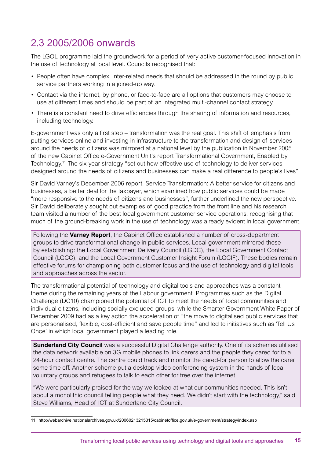## 2.3 2005/2006 onwards

The LGOL programme laid the groundwork for a period of very active customer-focused innovation in the use of technology at local level. Councils recognised that:

- People often have complex, inter-related needs that should be addressed in the round by public service partners working in a joined-up way.
- • Contact via the internet, by phone, or face-to-face are all options that customers may choose to use at different times and should be part of an integrated multi-channel contact strategy.
- There is a constant need to drive efficiencies through the sharing of information and resources, including technology.

E-government was only a first step – transformation was the real goal. This shift of emphasis from putting services online and investing in infrastructure to the transformation and design of services around the needs of citizens was mirrored at a national level by the publication in November 2005 of the new Cabinet Office e-Government Unit's report Transformational Government, Enabled by Technology.11 The six-year strategy "set out how effective use of technology to deliver services designed around the needs of citizens and businesses can make a real difference to people's lives".

Sir David Varney's December 2006 report, Service Transformation: A better service for citizens and businesses, a better deal for the taxpayer, which examined how public services could be made "more responsive to the needs of citizens and businesses", further underlined the new perspective. Sir David deliberately sought out examples of good practice from the front line and his research team visited a number of the best local government customer service operations, recognising that much of the ground-breaking work in the use of technology was already evident in local government.

Following the **Varney Report**, the Cabinet Office established a number of cross-department groups to drive transformational change in public services. Local government mirrored these by establishing: the Local Government Delivery Council (LGDC), the Local Government Contact Council (LGCC), and the Local Government Customer Insight Forum (LGCIF). These bodies remain effective forums for championing both customer focus and the use of technology and digital tools and approaches across the sector.

The transformational potential of technology and digital tools and approaches was a constant theme during the remaining years of the Labour government. Programmes such as the Digital Challenge (DC10) championed the potential of ICT to meet the needs of local communities and individual citizens, including socially excluded groups, while the Smarter Government White Paper of December 2009 had as a key action the acceleration of "the move to digitalised public services that are personalised, flexible, cost-efficient and save people time" and led to initiatives such as 'Tell Us Once' in which local government played a leading role.

**Sunderland City Council** was a successful Digital Challenge authority. One of its schemes utilised the data network available on 3G mobile phones to link carers and the people they cared for to a 24-hour contact centre. The centre could track and monitor the cared-for person to allow the carer some time off. Another scheme put a desktop video conferencing system in the hands of local voluntary groups and refugees to talk to each other for free over the internet.

"We were particularly praised for the way we looked at what our communities needed. This isn't about a monolithic council telling people what they need. We didn't start with the technology," said Steve Williams, Head of ICT at Sunderland City Council.

<sup>11</sup> http://webarchive.nationalarchives.gov.uk/20060213215315/cabinetoffice.gov.uk/e-government/strategy/index.asp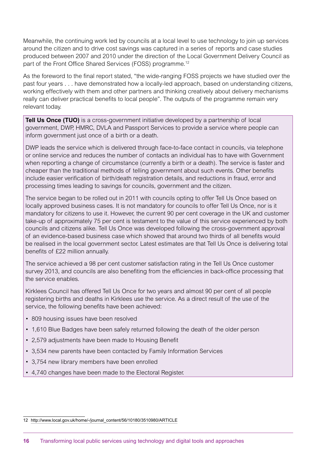Meanwhile, the continuing work led by councils at a local level to use technology to join up services around the citizen and to drive cost savings was captured in a series of reports and case studies produced between 2007 and 2010 under the direction of the Local Government Delivery Council as part of the Front Office Shared Services (FOSS) programme.12

As the foreword to the final report stated, "the wide-ranging FOSS projects we have studied over the past four years . . . have demonstrated how a locally-led approach, based on understanding citizens, working effectively with them and other partners and thinking creatively about delivery mechanisms really can deliver practical benefits to local people". The outputs of the programme remain very relevant today.

**Tell Us Once (TUO)** is a cross-government initiative developed by a partnership of local government, DWP, HMRC, DVLA and Passport Services to provide a service where people can inform government just once of a birth or a death.

DWP leads the service which is delivered through face-to-face contact in councils, via telephone or online service and reduces the number of contacts an individual has to have with Government when reporting a change of circumstance (currently a birth or a death). The service is faster and cheaper than the traditional methods of telling government about such events. Other benefits include easier verification of birth/death registration details, and reductions in fraud, error and processing times leading to savings for councils, government and the citizen.

The service began to be rolled out in 2011 with councils opting to offer Tell Us Once based on locally approved business cases. It is not mandatory for councils to offer Tell Us Once, nor is it mandatory for citizens to use it. However, the current 90 per cent coverage in the UK and customer take-up of approximately 75 per cent is testament to the value of this service experienced by both councils and citizens alike. Tell Us Once was developed following the cross-government approval of an evidence-based business case which showed that around two thirds of all benefits would be realised in the local government sector. Latest estimates are that Tell Us Once is delivering total benefits of £22 million annually.

The service achieved a 98 per cent customer satisfaction rating in the Tell Us Once customer survey 2013, and councils are also benefiting from the efficiencies in back-office processing that the service enables.

Kirklees Council has offered Tell Us Once for two years and almost 90 per cent of all people registering births and deaths in Kirklees use the service. As a direct result of the use of the service, the following benefits have been achieved:

- 809 housing issues have been resolved
- 1,610 Blue Badges have been safely returned following the death of the older person
- 2,579 adjustments have been made to Housing Benefit
- • 3,534 new parents have been contacted by Family Information Services
- 3,754 new library members have been enrolled
- • 4,740 changes have been made to the Electoral Register.

<sup>12</sup> http://www.local.gov.uk/home/-/journal\_content/56/10180/3510980/ARTICLE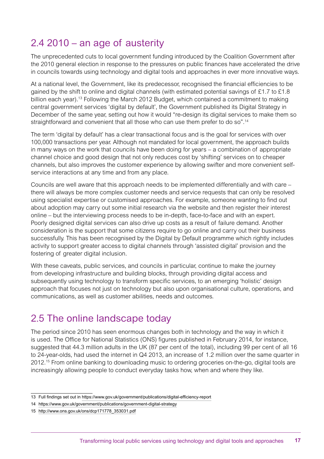## 2.4 2010 – an age of austerity

The unprecedented cuts to local government funding introduced by the Coalition Government after the 2010 general election in response to the pressures on public finances have accelerated the drive in councils towards using technology and digital tools and approaches in ever more innovative ways.

At a national level, the Government, like its predecessor, recognised the financial efficiencies to be gained by the shift to online and digital channels (with estimated potential savings of £1.7 to £1.8 billion each year).13 Following the March 2012 Budget, which contained a commitment to making central government services 'digital by default', the Government published its Digital Strategy in December of the same year, setting out how it would "re-design its digital services to make them so straightforward and convenient that all those who can use them prefer to do so".<sup>14</sup>

The term 'digital by default' has a clear transactional focus and is the goal for services with over 100,000 transactions per year. Although not mandated for local government, the approach builds in many ways on the work that councils have been doing for years – a combination of appropriate channel choice and good design that not only reduces cost by 'shifting' services on to cheaper channels, but also improves the customer experience by allowing swifter and more convenient selfservice interactions at any time and from any place.

Councils are well aware that this approach needs to be implemented differentially and with care – there will always be more complex customer needs and service requests that can only be resolved using specialist expertise or customised approaches. For example, someone wanting to find out about adoption may carry out some initial research via the website and then register their interest online – but the interviewing process needs to be in-depth, face-to-face and with an expert. Poorly designed digital services can also drive up costs as a result of failure demand. Another consideration is the support that some citizens require to go online and carry out their business successfully. This has been recognised by the Digital by Default programme which rightly includes activity to support greater access to digital channels through 'assisted digital' provision and the fostering of greater digital inclusion.

With these caveats, public services, and councils in particular, continue to make the journey from developing infrastructure and building blocks, through providing digital access and subsequently using technology to transform specific services, to an emerging 'holistic' design approach that focuses not just on technology but also upon organisational culture, operations, and communications, as well as customer abilities, needs and outcomes.

## 2.5 The online landscape today

The period since 2010 has seen enormous changes both in technology and the way in which it is used. The Office for National Statistics (ONS) figures published in February 2014, for instance, suggested that 44.3 million adults in the UK (87 per cent of the total), including 99 per cent of all 16 to 24-year-olds, had used the internet in Q4 2013, an increase of 1.2 million over the same quarter in 2012.15 From online banking to downloading music to ordering groceries on-the-go, digital tools are increasingly allowing people to conduct everyday tasks how, when and where they like.

<sup>13</sup> Full findings set out in https://www.gov.uk/government/publications/digital-efficiency-report

<sup>14</sup> https://www.gov.uk/government/publications/government-digital-strategy

<sup>15</sup> http://www.ons.gov.uk/ons/dcp171778\_353031.pdf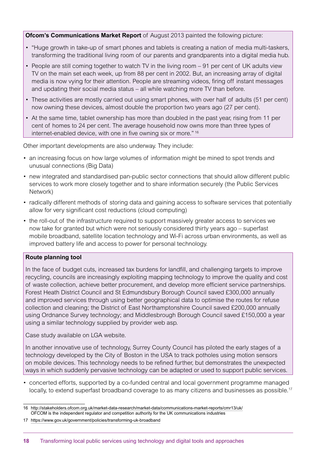**Ofcom's Communications Market Report** of August 2013 painted the following picture:

- "Huge growth in take-up of smart phones and tablets is creating a nation of media multi-taskers, transforming the traditional living room of our parents and grandparents into a digital media hub.
- People are still coming together to watch TV in the living room 91 per cent of UK adults view TV on the main set each week, up from 88 per cent in 2002. But, an increasing array of digital media is now vying for their attention. People are streaming videos, firing off instant messages and updating their social media status – all while watching more TV than before.
- • These activities are mostly carried out using smart phones, with over half of adults (51 per cent) now owning these devices, almost double the proportion two years ago (27 per cent).
- • At the same time, tablet ownership has more than doubled in the past year, rising from 11 per cent of homes to 24 per cent. The average household now owns more than three types of internet-enabled device, with one in five owning six or more." 16

Other important developments are also underway. They include:

- an increasing focus on how large volumes of information might be mined to spot trends and unusual connections (Big Data)
- new integrated and standardised pan-public sector connections that should allow different public services to work more closely together and to share information securely (the Public Services Network)
- radically different methods of storing data and gaining access to software services that potentially allow for very significant cost reductions (cloud computing)
- the roll-out of the infrastructure required to support massively greater access to services we now take for granted but which were not seriously considered thirty years ago – superfast mobile broadband, satellite location technology and Wi-Fi across urban environments, as well as improved battery life and access to power for personal technology.

#### **Route planning tool**

In the face of budget cuts, increased tax burdens for landfill, and challenging targets to improve recycling, councils are increasingly exploiting mapping technology to improve the quality and cost of waste collection, achieve better procurement, and develop more efficient service partnerships. Forest Heath District Council and St Edmundsbury Borough Council saved £300,000 annually and improved services through using better geographical data to optimise the routes for refuse collection and cleaning; the District of East Northamptonshire Council saved £200,000 annually using Ordnance Survey technology; and Middlesbrough Borough Council saved £150,000 a year using a similar technology supplied by provider web asp.

Case study available on LGA website.

In another innovative use of technology, Surrey County Council has piloted the early stages of a technology developed by the City of Boston in the USA to track potholes using motion sensors on mobile devices. This technology needs to be refined further, but demonstrates the unexpected ways in which suddenly pervasive technology can be adapted or used to support public services.

• concerted efforts, supported by a co-funded central and local government programme managed locally, to extend superfast broadband coverage to as many citizens and businesses as possible.<sup>17</sup>

<sup>16</sup> http://stakeholders.ofcom.org.uk/market-data-research/market-data/communications-market-reports/cmr13/uk/ OFCOM is the independent regulator and competition authority for the UK communications industries

<sup>17</sup> https://www.gov.uk/government/policies/transforming-uk-broadband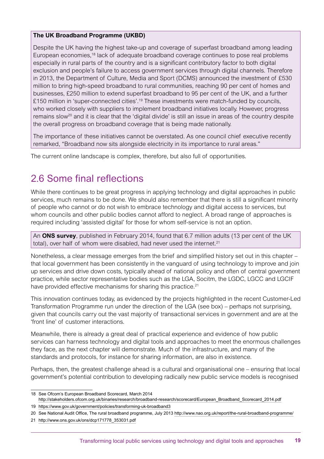#### **The UK Broadband Programme (UKBD)**

Despite the UK having the highest take-up and coverage of superfast broadband among leading European economies,<sup>18</sup> lack of adequate broadband coverage continues to pose real problems especially in rural parts of the country and is a significant contributory factor to both digital exclusion and people's failure to access government services through digital channels. Therefore in 2013, the Department of Culture, Media and Sport (DCMS) announced the investment of £530 million to bring high-speed broadband to rural communities, reaching 90 per cent of homes and businesses, £250 million to extend superfast broadband to 95 per cent of the UK, and a further £150 million in 'super-connected cities'.<sup>19</sup> These investments were match-funded by councils, who worked closely with suppliers to implement broadband initiatives locally. However, progress remains slow<sup>20</sup> and it is clear that the 'digital divide' is still an issue in areas of the country despite the overall progress on broadband coverage that is being made nationally.

The importance of these initiatives cannot be overstated. As one council chief executive recently remarked, "Broadband now sits alongside electricity in its importance to rural areas."

The current online landscape is complex, therefore, but also full of opportunities.

## 2.6 Some final reflections

While there continues to be great progress in applying technology and digital approaches in public services, much remains to be done. We should also remember that there is still a significant minority of people who cannot or do not wish to embrace technology and digital access to services, but whom councils and other public bodies cannot afford to neglect. A broad range of approaches is required including 'assisted digital' for those for whom self-service is not an option.

An **ONS survey**, published in February 2014, found that 6.7 million adults (13 per cent of the UK total), over half of whom were disabled, had never used the internet.<sup>21</sup>

Nonetheless, a clear message emerges from the brief and simplified history set out in this chapter – that local government has been consistently in the vanguard of using technology to improve and join up services and drive down costs, typically ahead of national policy and often of central government practice, while sector representative bodies such as the LGA, Socitm, the LGDC, LGCC and LGCIF have provided effective mechanisms for sharing this practice.<sup>21</sup>

This innovation continues today, as evidenced by the projects highlighted in the recent Customer-Led Transformation Programme run under the direction of the LGA (see box) – perhaps not surprising, given that councils carry out the vast majority of transactional services in government and are at the 'front line' of customer interactions.

Meanwhile, there is already a great deal of practical experience and evidence of how public services can harness technology and digital tools and approaches to meet the enormous challenges they face, as the next chapter will demonstrate. Much of the infrastructure, and many of the standards and protocols, for instance for sharing information, are also in existence.

Perhaps, then, the greatest challenge ahead is a cultural and organisational one – ensuring that local government's potential contribution to developing radically new public service models is recognised

<sup>18</sup> See Ofcom's European Broadband Scorecard, March 2014 http://stakeholders.ofcom.org.uk/binaries/research/broadband-research/scorecard/European\_Broadband\_Scorecard\_2014.pdf

<sup>19</sup> https://www.gov.uk/government/policies/transforming-uk-broadband3

<sup>20</sup> See National Audit Office, The rural broadband programme, July 2013 http://www.nao.org.uk/report/the-rural-broadband-programme/

<sup>21</sup> http://www.ons.gov.uk/ons/dcp171778\_353031.pdf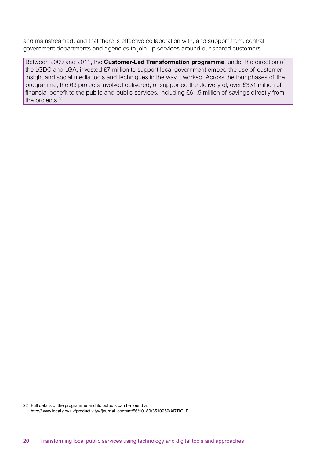and mainstreamed, and that there is effective collaboration with, and support from, central government departments and agencies to join up services around our shared customers.

Between 2009 and 2011, the **Customer-Led Transformation programme**, under the direction of the LGDC and LGA, invested £7 million to support local government embed the use of customer insight and social media tools and techniques in the way it worked. Across the four phases of the programme, the 63 projects involved delivered, or supported the delivery of, over £331 million of financial benefit to the public and public services, including £61.5 million of savings directly from the projects.<sup>22</sup>

<sup>22</sup> Full details of the programme and its outputs can be found at http://www.local.gov.uk/productivity/-/journal\_content/56/10180/3510959/ARTICLE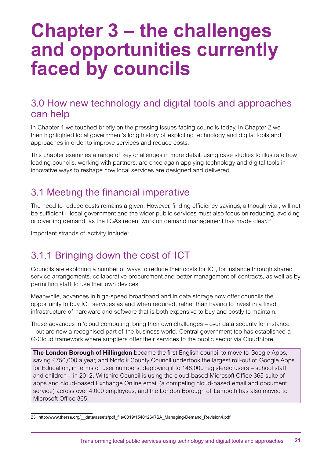## **Chapter 3 – the challenges and opportunities currently faced by councils**

### 3.0 How new technology and digital tools and approaches can help

In Chapter 1 we touched briefly on the pressing issues facing councils today. In Chapter 2 we then highlighted local government's long history of exploiting technology and digital tools and approaches in order to improve services and reduce costs.

This chapter examines a range of key challenges in more detail, using case studies to illustrate how leading councils, working with partners, are once again applying technology and digital tools in innovative ways to reshape how local services are designed and delivered.

## 3.1 Meeting the financial imperative

The need to reduce costs remains a given. However, finding efficiency savings, although vital, will not be sufficient – local government and the wider public services must also focus on reducing, avoiding or diverting demand, as the LGA's recent work on demand management has made clear.<sup>23</sup>

Important strands of activity include:

## 3.1.1 Bringing down the cost of ICT

Councils are exploring a number of ways to reduce their costs for ICT, for instance through shared service arrangements, collaborative procurement and better management of contracts, as well as by permitting staff to use their own devices.

Meanwhile, advances in high-speed broadband and in data storage now offer councils the opportunity to buy ICT services as and when required, rather than having to invest in a fixed infrastructure of hardware and software that is both expensive to buy and costly to maintain.

These advances in 'cloud computing' bring their own challenges – over data security for instance – but are now a recognised part of the business world. Central government too has established a G-Cloud framework where suppliers offer their services to the public sector via CloudStore.

**The London Borough of Hillingdon** became the first English council to move to Google Apps, saving £750,000 a year, and Norfolk County Council undertook the largest roll-out of Google Apps for Education, in terms of user numbers, deploying it to 148,000 registered users – school staff and children – in 2012. Wiltshire Council is using the cloud-based Microsoft Office 365 suite of apps and cloud-based Exchange Online email (a competing cloud-based email and document service) across over 4,000 employees, and the London Borough of Lambeth has also moved to Microsoft Office 365.

23 http://www.thersa.org/\_\_data/assets/pdf\_file/0019/1540126/RSA\_Managing-Demand\_Revision4.pdf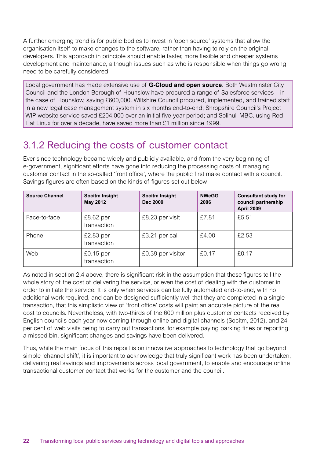A further emerging trend is for public bodies to invest in 'open source' systems that allow the organisation itself to make changes to the software, rather than having to rely on the original developers. This approach in principle should enable faster, more flexible and cheaper systems development and maintenance, although issues such as who is responsible when things go wrong need to be carefully considered.

Local government has made extensive use of **G-Cloud and open source**. Both Westminster City Council and the London Borough of Hounslow have procured a range of Salesforce services – in the case of Hounslow, saving £600,000. Wiltshire Council procured, implemented, and trained staff in a new legal case management system in six months end-to-end; Shropshire Council's Project WIP website service saved £204,000 over an initial five-year period; and Solihull MBC, using Red Hat Linux for over a decade, have saved more than £1 million since 1999.

## 3.1.2 Reducing the costs of customer contact

Ever since technology became widely and publicly available, and from the very beginning of e-government, significant efforts have gone into reducing the processing costs of managing customer contact in the so-called 'front office', where the public first make contact with a council. Savings figures are often based on the kinds of figures set out below.

| <b>Source Channel</b> | Socitm Insight<br><b>May 2012</b> | Socitm Insight<br><b>Dec 2009</b> | <b>NWeGG</b><br>2006 | <b>Consultant study for</b><br>council partnership<br><b>April 2009</b> |
|-----------------------|-----------------------------------|-----------------------------------|----------------------|-------------------------------------------------------------------------|
| Face-to-face          | $£8.62$ per<br>transaction        | £8.23 per visit                   | £7.81                | £5.51                                                                   |
| Phone                 | $£2.83$ per<br>transaction        | £3.21 per call                    | £4.00                | £2.53                                                                   |
| Web                   | $£0.15$ per<br>transaction        | £0.39 per visitor                 | £0.17                | £0.17                                                                   |

As noted in section 2.4 above, there is significant risk in the assumption that these figures tell the whole story of the cost of delivering the service, or even the cost of dealing with the customer in order to initiate the service. It is only when services can be fully automated end-to-end, with no additional work required, and can be designed sufficiently well that they are completed in a single transaction, that this simplistic view of 'front office' costs will paint an accurate picture of the real cost to councils. Nevertheless, with two-thirds of the 600 million plus customer contacts received by English councils each year now coming through online and digital channels (Socitm, 2012), and 24 per cent of web visits being to carry out transactions, for example paying parking fines or reporting a missed bin, significant changes and savings have been delivered.

Thus, while the main focus of this report is on innovative approaches to technology that go beyond simple 'channel shift', it is important to acknowledge that truly significant work has been undertaken, delivering real savings and improvements across local government, to enable and encourage online transactional customer contact that works for the customer and the council.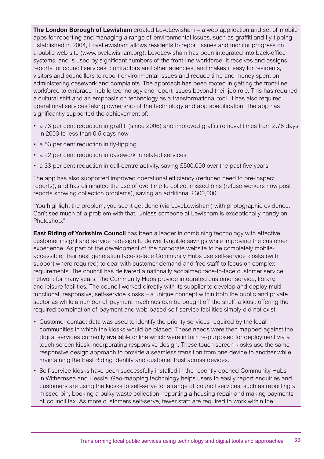**The London Borough of Lewisham** created LoveLewisham – a web application and set of mobile apps for reporting and managing a range of environmental issues, such as graffiti and fly-tipping. Established in 2004, LoveLewisham allows residents to report issues and monitor progress on a public web site (www.lovelewisham.org). LoveLewisham has been integrated into back-office systems, and is used by significant numbers of the front-line workforce. It receives and assigns reports for council services, contractors and other agencies, and makes it easy for residents, visitors and councillors to report environmental issues and reduce time and money spent on administering casework and complaints. The approach has been rooted in getting the front-line workforce to embrace mobile technology and report issues beyond their job role. This has required a cultural shift and an emphasis on technology as a transformational tool. It has also required operational services taking ownership of the technology and app specification. The app has significantly supported the achievement of:

- a 73 per cent reduction in graffiti (since 2006) and improved graffiti removal times from 2.78 days in 2003 to less than 0.5 days now
- a 53 per cent reduction in fly-tipping
- a 22 per cent reduction in casework in related services
- a 33 per cent reduction in call-centre activity, saving £500,000 over the past five years.

The app has also supported improved operational efficiency (reduced need to pre-inspect reports), and has eliminated the use of overtime to collect missed bins (refuse workers now post reports showing collection problems), saving an additional £300,000.

"You highlight the problem, you see it get done (via LoveLewisham) with photographic evidence. Can't see much of a problem with that. Unless someone at Lewisham is exceptionally handy on Photoshop."

**East Riding of Yorkshire Council** has been a leader in combining technology with effective customer insight and service redesign to deliver tangible savings while improving the customer experience. As part of the development of the corporate website to be completely mobileaccessible, their next generation face-to-face Community Hubs use self-service kiosks (with support where required) to deal with customer demand and free staff to focus on complex requirements. The council has delivered a nationally acclaimed face-to-face customer service network for many years. The Community Hubs provide integrated customer service, library, and leisure facilities. The council worked directly with its supplier to develop and deploy multifunctional, responsive, self-service kiosks – a unique concept within both the public and private sector as while a number of payment machines can be bought off the shelf, a kiosk offering the required combination of payment and web-based self-service facilities simply did not exist.

- • Customer contact data was used to identify the priority services required by the local communities in which the kiosks would be placed. These needs were then mapped against the digital services currently available online which were in turn re-purposed for deployment via a touch screen kiosk incorporating responsive design. These touch screen kiosks use the same responsive design approach to provide a seamless transition from one device to another while maintaining the East Riding identity and customer trust across devices.
- Self-service kiosks have been successfully installed in the recently opened Community Hubs in Withernsea and Hessle. Geo-mapping technology helps users to easily report enquiries and customers are using the kiosks to self-serve for a range of council services, such as reporting a missed bin, booking a bulky waste collection, reporting a housing repair and making payments of council tax. As more customers self-serve, fewer staff are required to work within the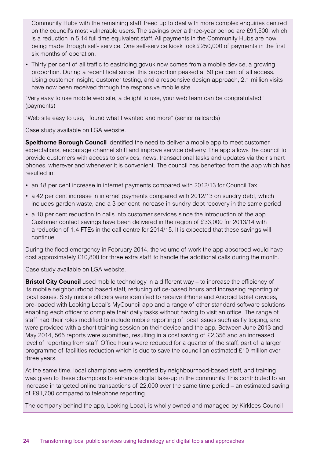Community Hubs with the remaining staff freed up to deal with more complex enquiries centred on the council's most vulnerable users. The savings over a three-year period are £91,500, which is a reduction in 5.14 full time equivalent staff. All payments in the Community Hubs are now being made through self- service. One self-service kiosk took £250,000 of payments in the first six months of operation.

• Thirty per cent of all traffic to eastriding.gov.uk now comes from a mobile device, a growing proportion. During a recent tidal surge, this proportion peaked at 50 per cent of all access. Using customer insight, customer testing, and a responsive design approach, 2.1 million visits have now been received through the responsive mobile site.

"Very easy to use mobile web site, a delight to use, your web team can be congratulated" (payments)

"Web site easy to use, I found what I wanted and more" (senior railcards)

Case study available on LGA website.

**Spelthorne Borough Council** identified the need to deliver a mobile app to meet customer expectations, encourage channel shift and improve service delivery. The app allows the council to provide customers with access to services, news, transactional tasks and updates via their smart phones, wherever and whenever it is convenient. The council has benefited from the app which has resulted in:

- an 18 per cent increase in internet payments compared with 2012/13 for Council Tax
- a 42 per cent increase in internet payments compared with 2012/13 on sundry debt, which includes garden waste, and a 3 per cent increase in sundry debt recovery in the same period
- a 10 per cent reduction to calls into customer services since the introduction of the app. Customer contact savings have been delivered in the region of £33,000 for 2013/14 with a reduction of 1.4 FTEs in the call centre for 2014/15. It is expected that these savings will continue.

During the flood emergency in February 2014, the volume of work the app absorbed would have cost approximately £10,800 for three extra staff to handle the additional calls during the month.

Case study available on LGA website.

**Bristol City Council** used mobile technology in a different way – to increase the efficiency of its mobile neighbourhood based staff, reducing office-based hours and increasing reporting of local issues. Sixty mobile officers were identified to receive iPhone and Android tablet devices, pre-loaded with Looking Local's MyCouncil app and a range of other standard software solutions enabling each officer to complete their daily tasks without having to visit an office. The range of staff had their roles modified to include mobile reporting of local issues such as fly tipping, and were provided with a short training session on their device and the app. Between June 2013 and May 2014, 565 reports were submitted, resulting in a cost saving of £2,356 and an increased level of reporting from staff. Office hours were reduced for a quarter of the staff, part of a larger programme of facilities reduction which is due to save the council an estimated £10 million over three years.

At the same time, local champions were identified by neighbourhood-based staff, and training was given to these champions to enhance digital take-up in the community. This contributed to an increase in targeted online transactions of 22,000 over the same time period – an estimated saving of £91,700 compared to telephone reporting.

The company behind the app, Looking Local, is wholly owned and managed by Kirklees Council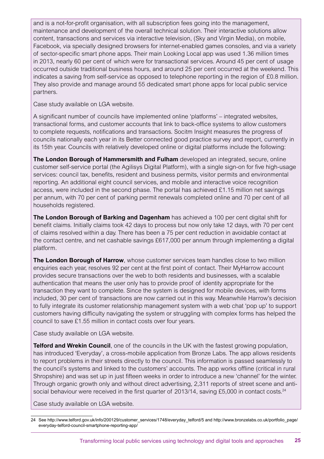of sector-specific smart phone apps. Their main Looking Local app was used 1.36 million times and is a not-for-profit organisation, with all subscription fees going into the management, maintenance and development of the overall technical solution. Their interactive solutions allow content, transactions and services via interactive television, (Sky and Virgin Media), on mobile, Facebook, via specially designed browsers for internet-enabled games consoles, and via a variety in 2013, nearly 60 per cent of which were for transactional services. Around 45 per cent of usage occurred outside traditional business hours, and around 25 per cent occurred at the weekend. This indicates a saving from self-service as opposed to telephone reporting in the region of £0.8 million. They also provide and manage around 55 dedicated smart phone apps for local public service partners.

Case study available on LGA website.

A significant number of councils have implemented online 'platforms' – integrated websites, transactional forms, and customer accounts that link to back-office systems to allow customers to complete requests, notifications and transactions. Socitm Insight measures the progress of councils nationally each year in its Better connected good practice survey and report, currently in its 15th year. Councils with relatively developed online or digital platforms include the following:

**The London Borough of Hammersmith and Fulham** developed an integrated, secure, online customer self-service portal (the Agilisys Digital Platform), with a single sign-on for five high-usage services: council tax, benefits, resident and business permits, visitor permits and environmental reporting. An additional eight council services, and mobile and interactive voice recognition access, were included in the second phase. The portal has achieved £1.15 million net savings per annum, with 70 per cent of parking permit renewals completed online and 70 per cent of all households registered.

**The London Borough of Barking and Dagenham** has achieved a 100 per cent digital shift for benefit claims. Initially claims took 42 days to process but now only take 12 days, with 70 per cent of claims resolved within a day. There has been a 75 per cent reduction in avoidable contact at the contact centre, and net cashable savings £617,000 per annum through implementing a digital platform.

**The London Borough of Harrow**, whose customer services team handles close to two million enquiries each year, resolves 92 per cent at the first point of contact. Their MyHarrow account provides secure transactions over the web to both residents and businesses, with a scalable authentication that means the user only has to provide proof of identity appropriate for the transaction they want to complete. Since the system is designed for mobile devices, with forms included, 30 per cent of transactions are now carried out in this way. Meanwhile Harrow's decision to fully integrate its customer relationship management system with a web chat 'pop up' to support customers having difficulty navigating the system or struggling with complex forms has helped the council to save £1.55 million in contact costs over four years.

Case study available on LGA website.

**Telford and Wrekin Council**, one of the councils in the UK with the fastest growing population, has introduced 'Everyday', a cross-mobile application from Bronze Labs. The app allows residents to report problems in their streets directly to the council. This information is passed seamlessly to the council's systems and linked to the customers' accounts. The app works offline (critical in rural Shropshire) and was set up in just fifteen weeks in order to introduce a new 'channel' for the winter. Through organic growth only and without direct advertising, 2,311 reports of street scene and antisocial behaviour were received in the first quarter of 2013/14, saving £5,000 in contact costs.<sup>24</sup>

Case study available on LGA website.

<sup>24</sup> See http://www.telford.gov.uk/info/200129/customer\_services/1748/everyday\_telford/5 and http://www.bronzelabs.co.uk/portfolio\_page/ everyday-telford-council-smartphone-reporting-app/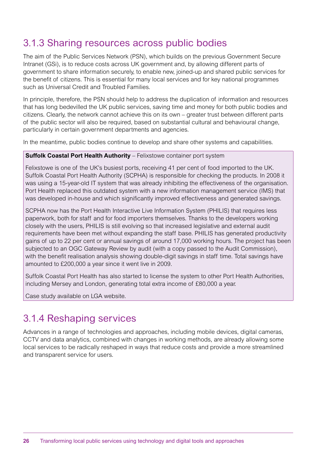### 3.1.3 Sharing resources across public bodies

The aim of the Public Services Network (PSN), which builds on the previous Government Secure Intranet (GSi), is to reduce costs across UK government and, by allowing different parts of government to share information securely, to enable new, joined-up and shared public services for the benefit of citizens. This is essential for many local services and for key national programmes such as Universal Credit and Troubled Families.

In principle, therefore, the PSN should help to address the duplication of information and resources that has long bedevilled the UK public services, saving time and money for both public bodies and citizens. Clearly, the network cannot achieve this on its own – greater trust between different parts of the public sector will also be required, based on substantial cultural and behavioural change, particularly in certain government departments and agencies.

In the meantime, public bodies continue to develop and share other systems and capabilities.

#### **Suffolk Coastal Port Health Authority** – Felixstowe container port system

Felixstowe is one of the UK's busiest ports, receiving 41 per cent of food imported to the UK. Suffolk Coastal Port Health Authority (SCPHA) is responsible for checking the products. In 2008 it was using a 15-year-old IT system that was already inhibiting the effectiveness of the organisation. Port Health replaced this outdated system with a new information management service (IMS) that was developed in-house and which significantly improved effectiveness and generated savings.

SCPHA now has the Port Health Interactive Live Information System (PHILIS) that requires less paperwork, both for staff and for food importers themselves. Thanks to the developers working closely with the users, PHILIS is still evolving so that increased legislative and external audit requirements have been met without expanding the staff base. PHILIS has generated productivity gains of up to 22 per cent or annual savings of around 17,000 working hours. The project has been subjected to an OGC Gateway Review by audit (with a copy passed to the Audit Commission), with the benefit realisation analysis showing double-digit savings in staff time. Total savings have amounted to £200,000 a year since it went live in 2009.

Suffolk Coastal Port Health has also started to license the system to other Port Health Authorities, including Mersey and London, generating total extra income of £80,000 a year.

Case study available on LGA website.

### 3.1.4 Reshaping services

Advances in a range of technologies and approaches, including mobile devices, digital cameras, CCTV and data analytics, combined with changes in working methods, are already allowing some local services to be radically reshaped in ways that reduce costs and provide a more streamlined and transparent service for users.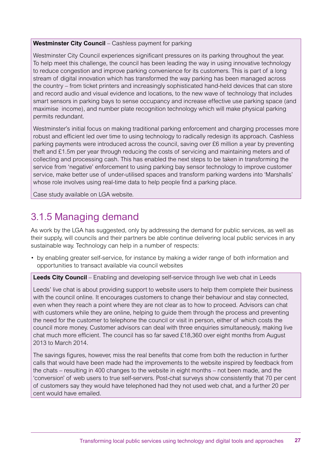#### **Westminster City Council** – Cashless payment for parking

Westminster City Council experiences significant pressures on its parking throughout the year. To help meet this challenge, the council has been leading the way in using innovative technology to reduce congestion and improve parking convenience for its customers. This is part of a long stream of digital innovation which has transformed the way parking has been managed across the country – from ticket printers and increasingly sophisticated hand-held devices that can store and record audio and visual evidence and locations, to the new wave of technology that includes smart sensors in parking bays to sense occupancy and increase effective use parking space (and maximise income), and number plate recognition technology which will make physical parking permits redundant.

Westminster's initial focus on making traditional parking enforcement and charging processes more robust and efficient led over time to using technology to radically redesign its approach. Cashless parking payments were introduced across the council, saving over £6 million a year by preventing theft and £1.5m per year through reducing the costs of servicing and maintaining meters and of collecting and processing cash. This has enabled the next steps to be taken in transforming the service from 'negative' enforcement to using parking bay sensor technology to improve customer service, make better use of under-utilised spaces and transform parking wardens into 'Marshalls' whose role involves using real-time data to help people find a parking place.

Case study available on LGA website.

## 3.1.5 Managing demand

As work by the LGA has suggested, only by addressing the demand for public services, as well as their supply, will councils and their partners be able continue delivering local public services in any sustainable way. Technology can help in a number of respects:

• by enabling greater self-service, for instance by making a wider range of both information and opportunities to transact available via council websites

**Leeds City Council** – Enabling and developing self-service through live web chat in Leeds

Leeds' live chat is about providing support to website users to help them complete their business with the council online. It encourages customers to change their behaviour and stay connected, even when they reach a point where they are not clear as to how to proceed. Advisors can chat with customers while they are online, helping to guide them through the process and preventing the need for the customer to telephone the council or visit in person, either of which costs the council more money. Customer advisors can deal with three enquiries simultaneously, making live chat much more efficient. The council has so far saved £18,360 over eight months from August 2013 to March 2014.

The savings figures, however, miss the real benefits that come from both the reduction in further calls that would have been made had the improvements to the website inspired by feedback from the chats – resulting in 400 changes to the website in eight months – not been made, and the 'conversion' of web users to true self-servers. Post-chat surveys show consistently that 70 per cent of customers say they would have telephoned had they not used web chat, and a further 20 per cent would have emailed.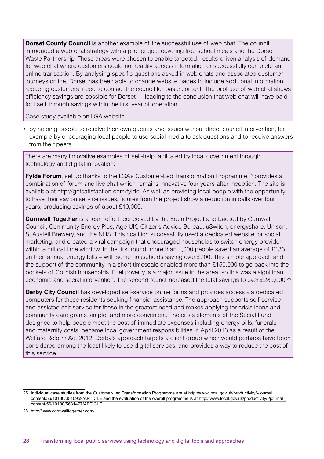**Dorset County Council** is another example of the successful use of web chat. The council introduced a web chat strategy with a pilot project covering free school meals and the Dorset Waste Partnership. These areas were chosen to enable targeted, results-driven analysis of demand for web chat where customers could not readily access information or successfully complete an online transaction. By analysing specific questions asked in web chats and associated customer journeys online, Dorset has been able to change website pages to include additional information, reducing customers' need to contact the council for basic content. The pilot use of web chat shows efficiency savings are possible for Dorset — leading to the conclusion that web chat will have paid for itself through savings within the first year of operation.

Case study available on LGA website.

• by helping people to resolve their own queries and issues without direct council intervention, for example by encouraging local people to use social media to ask questions and to receive answers from their peers

There are many innovative examples of self-help facilitated by local government through technology and digital innovation:

**Fylde Forum**, set up thanks to the LGA's Customer-Led Transformation Programme,<sup>25</sup> provides a combination of forum and live chat which remains innovative four years after inception. The site is available at http://getsatisfaction.com/fylde. As well as providing local people with the opportunity to have their say on service issues, figures from the project show a reduction in calls over four years, producing savings of about £10,000.

**Cornwall Together** is a team effort, conceived by the Eden Project and backed by Cornwall Council, Community Energy Plus, Age UK, Citizens Advice Bureau, uSwitch, energyshare, Unison, St Austell Brewery, and the NHS. This coalition successfully used a dedicated website for social marketing, and created a viral campaign that encouraged households to switch energy provider within a critical time window. In the first round, more than 1,000 people saved an average of £133 on their annual energy bills – with some households saving over £700. This simple approach and the support of the community in a short timescale enabled more than £150,000 to go back into the pockets of Cornish households. Fuel poverty is a major issue in the area, so this was a significant economic and social intervention. The second round increased the total savings to over £280,000.26

**Derby City Council** has developed self-service online forms and provides access via dedicated computers for those residents seeking financial assistance. The approach supports self-service and assisted self-service for those in the greatest need and makes applying for crisis loans and community care grants simpler and more convenient. The crisis elements of the Social Fund, designed to help people meet the cost of immediate expenses including energy bills, funerals and maternity costs, became local government responsibilities in April 2013 as a result of the Welfare Reform Act 2012. Derby's approach targets a client group which would perhaps have been considered among the least likely to use digital services, and provides a way to reduce the cost of this service.

<sup>25</sup> Individual case studies from the Customer-Led Transformation Programme are at http://www.local.gov.uk/productivity/-/journal\_ content/56/10180/3510959/ARTICLE and the evaluation of the overall programme is at http://www.local.gov.uk/productivity/-/journal\_ content/56/10180/5681477/ARTICLE

<sup>26</sup> http://www.cornwalltogether.com/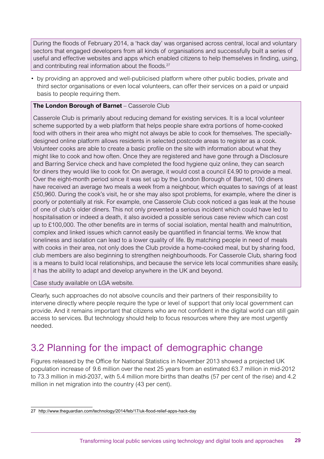During the floods of February 2014, a 'hack day' was organised across central, local and voluntary sectors that engaged developers from all kinds of organisations and successfully built a series of useful and effective websites and apps which enabled citizens to help themselves in finding, using, and contributing real information about the floods.<sup>27</sup>

• by providing an approved and well-publicised platform where other public bodies, private and third sector organisations or even local volunteers, can offer their services on a paid or unpaid basis to people requiring them.

#### **The London Borough of Barnet** – Casserole Club

Casserole Club is primarily about reducing demand for existing services. It is a local volunteer scheme supported by a web platform that helps people share extra portions of home-cooked food with others in their area who might not always be able to cook for themselves. The speciallydesigned online platform allows residents in selected postcode areas to register as a cook. Volunteer cooks are able to create a basic profile on the site with information about what they might like to cook and how often. Once they are registered and have gone through a Disclosure and Barring Service check and have completed the food hygiene quiz online, they can search for diners they would like to cook for. On average, it would cost a council £4.90 to provide a meal. Over the eight-month period since it was set up by the London Borough of Barnet, 100 diners have received an average two meals a week from a neighbour, which equates to savings of at least £50,960. During the cook's visit, he or she may also spot problems, for example, where the diner is poorly or potentially at risk. For example, one Casserole Club cook noticed a gas leak at the house of one of club's older diners. This not only prevented a serious incident which could have led to hospitalisation or indeed a death, it also avoided a possible serious case review which can cost up to £100,000. The other benefits are in terms of social isolation, mental health and malnutrition, complex and linked issues which cannot easily be quantified in financial terms. We know that loneliness and isolation can lead to a lower quality of life. By matching people in need of meals with cooks in their area, not only does the Club provide a home-cooked meal, but by sharing food, club members are also beginning to strengthen neighbourhoods. For Casserole Club, sharing food is a means to build local relationships, and because the service lets local communities share easily, it has the ability to adapt and develop anywhere in the UK and beyond.

Case study available on LGA website.

Clearly, such approaches do not absolve councils and their partners of their responsibility to intervene directly where people require the type or level of support that only local government can provide. And it remains important that citizens who are not confident in the digital world can still gain access to services. But technology should help to focus resources where they are most urgently needed.

### 3.2 Planning for the impact of demographic change

Figures released by the Office for National Statistics in November 2013 showed a projected UK population increase of 9.6 million over the next 25 years from an estimated 63.7 million in mid-2012 to 73.3 million in mid-2037, with 5.4 million more births than deaths (57 per cent of the rise) and 4.2 million in net migration into the country (43 per cent).

<sup>27</sup> http://www.theguardian.com/technology/2014/feb/17/uk-flood-relief-apps-hack-day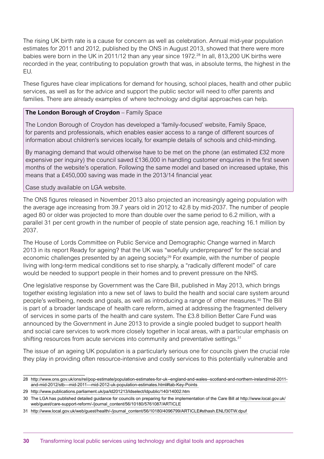The rising UK birth rate is a cause for concern as well as celebration. Annual mid-year population estimates for 2011 and 2012, published by the ONS in August 2013, showed that there were more babies were born in the UK in 2011/12 than any year since 1972.28 In all, 813,200 UK births were recorded in the year, contributing to population growth that was, in absolute terms, the highest in the EU.

These figures have clear implications for demand for housing, school places, health and other public services, as well as for the advice and support the public sector will need to offer parents and families. There are already examples of where technology and digital approaches can help.

#### **The London Borough of Croydon** – Family Space

The London Borough of Croydon has developed a 'family-focused' website, Family Space, for parents and professionals, which enables easier access to a range of different sources of information about children's services locally, for example details of schools and child-minding.

By managing demand that would otherwise have to be met on the phone (an estimated £32 more expensive per inquiry) the council saved £136,000 in handling customer enquiries in the first seven months of the website's operation. Following the same model and based on increased uptake, this means that a £450,000 saving was made in the 2013/14 financial year.

#### Case study available on LGA website.

The ONS figures released in November 2013 also projected an increasingly ageing population with the average age increasing from 39.7 years old in 2012 to 42.8 by mid-2037. The number of people aged 80 or older was projected to more than double over the same period to 6.2 million, with a parallel 31 per cent growth in the number of people of state pension age, reaching 16.1 million by 2037.

The House of Lords Committee on Public Service and Demographic Change warned in March 2013 in its report Ready for ageing? that the UK was "woefully underprepared" for the social and economic challenges presented by an ageing society.29 For example, with the number of people living with long-term medical conditions set to rise sharply, a "radically different model" of care would be needed to support people in their homes and to prevent pressure on the NHS.

One legislative response by Government was the Care Bill, published in May 2013, which brings together existing legislation into a new set of laws to build the health and social care system around people's wellbeing, needs and goals, as well as introducing a range of other measures.<sup>30</sup> The Bill is part of a broader landscape of health care reform, aimed at addressing the fragmented delivery of services in some parts of the health and care system. The £3.8 billion Better Care Fund was announced by the Government in June 2013 to provide a single pooled budget to support health and social care services to work more closely together in local areas, with a particular emphasis on shifting resources from acute services into community and preventative settings.<sup>31</sup>

The issue of an ageing UK population is a particularly serious one for councils given the crucial role they play in providing often resource-intensive and costly services to this potentially vulnerable and

<sup>28</sup> http://www.ons.gov.uk/ons/rel/pop-estimate/population-estimates-for-uk--england-and-wales--scotland-and-northern-ireland/mid-2011 and-mid-2012/stb---mid-2011---mid-2012-uk-population-estimates.html#tab-Key-Points

<sup>29</sup> http://www.publications.parliament.uk/pa/ld201213/ldselect/ldpublic/140/14002.htm

<sup>30</sup> The LGA has published detailed guidance for councils on preparing for the implementation of the Care Bill at http://www.local.gov.uk/ web/guest/care-support-reform/-/journal\_content/56/10180/5761087/ARTICLE

<sup>31</sup> http://www.local.gov.uk/web/guest/health/-/journal\_content/56/10180/4096799/ARTICLE#sthash.ENLf30TW.dpuf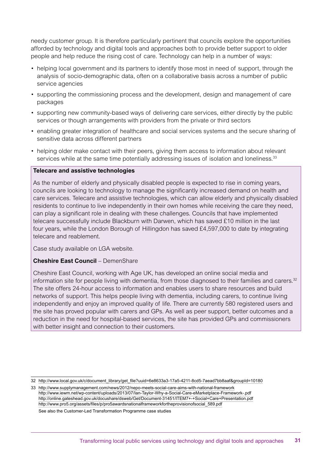needy customer group. It is therefore particularly pertinent that councils explore the opportunities afforded by technology and digital tools and approaches both to provide better support to older people and help reduce the rising cost of care. Technology can help in a number of ways:

- helping local government and its partners to identify those most in need of support, through the analysis of socio-demographic data, often on a collaborative basis across a number of public service agencies
- • supporting the commissioning process and the development, design and management of care packages
- supporting new community-based ways of delivering care services, either directly by the public services or though arrangements with providers from the private or third sectors
- • enabling greater integration of healthcare and social services systems and the secure sharing of sensitive data across different partners
- helping older make contact with their peers, giving them access to information about relevant services while at the same time potentially addressing issues of isolation and loneliness.<sup>33</sup>

#### **Telecare and assistive technologies**

As the number of elderly and physically disabled people is expected to rise in coming years, councils are looking to technology to manage the significantly increased demand on health and care services. Telecare and assistive technologies, which can allow elderly and physically disabled residents to continue to live independently in their own homes while receiving the care they need, can play a significant role in dealing with these challenges. Councils that have implemented telecare successfully include Blackburn with Darwen, which has saved £10 million in the last four years, while the London Borough of Hillingdon has saved £4,597,000 to date by integrating telecare and reablement.

Case study available on LGA website.

#### **Cheshire East Council** – DemenShare

Cheshire East Council, working with Age UK, has developed an online social media and information site for people living with dementia, from those diagnosed to their families and carers. $32$ The site offers 24-hour access to information and enables users to share resources and build networks of support. This helps people living with dementia, including carers, to continue living independently and enjoy an improved quality of life. There are currently 580 registered users and the site has proved popular with carers and GPs. As well as peer support, better outcomes and a reduction in the need for hospital-based services, the site has provided GPs and commissioners with better insight and connection to their customers.

See also the Customer-Led Transformation Programme case studies

<sup>32</sup> http://www.local.gov.uk/c/document\_library/get\_file?uuid=6e8633a3-17a5-4211-8cd5-7aead7bb8aaf&groupId=10180

<sup>33</sup> http://www.supplymanagement.com/news/2012/nepo-meets-social-care-aims-with-national-framework http://www.iewm.net/wp-content/uploads/2013/07/Ian-Taylor-Why-a-Social-Care-eMarketplace-Framework-.pdf http://online.gateshead.gov.uk/docushare/dsweb/Get/Document-31451/ITEM7+-+Social+Care+Presentation.pdf http://www.pro5.org/assets/files/p/pro5awardsnationalframeworkfortheprovisionofsocial\_589.pdf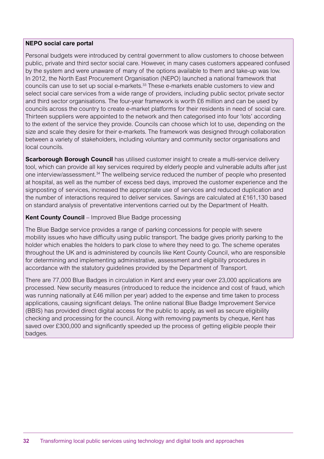#### **NEPO social care portal**

Personal budgets were introduced by central government to allow customers to choose between public, private and third sector social care. However, in many cases customers appeared confused by the system and were unaware of many of the options available to them and take-up was low. In 2012, the North East Procurement Organisation (NEPO) launched a national framework that councils can use to set up social e-markets.<sup>33</sup> These e-markets enable customers to view and select social care services from a wide range of providers, including public sector, private sector and third sector organisations. The four-year framework is worth £6 million and can be used by councils across the country to create e-market platforms for their residents in need of social care. Thirteen suppliers were appointed to the network and then categorised into four 'lots' according to the extent of the service they provide. Councils can choose which lot to use, depending on the size and scale they desire for their e-markets. The framework was designed through collaboration between a variety of stakeholders, including voluntary and community sector organisations and local councils.

**Scarborough Borough Council** has utilised customer insight to create a multi-service delivery tool, which can provide all key services required by elderly people and vulnerable adults after just one interview/assessment.<sup>34</sup> The wellbeing service reduced the number of people who presented at hospital, as well as the number of excess bed days, improved the customer experience and the signposting of services, increased the appropriate use of services and reduced duplication and the number of interactions required to deliver services. Savings are calculated at £161,130 based on standard analysis of preventative interventions carried out by the Department of Health.

#### **Kent County Council** – Improved Blue Badge processing

The Blue Badge service provides a range of parking concessions for people with severe mobility issues who have difficulty using public transport. The badge gives priority parking to the holder which enables the holders to park close to where they need to go. The scheme operates throughout the UK and is administered by councils like Kent County Council, who are responsible for determining and implementing administrative, assessment and eligibility procedures in accordance with the statutory guidelines provided by the Department of Transport.

There are 77,000 Blue Badges in circulation in Kent and every year over 23,000 applications are processed. New security measures (introduced to reduce the incidence and cost of fraud, which was running nationally at £46 million per year) added to the expense and time taken to process applications, causing significant delays. The online national Blue Badge Improvement Service (BBIS) has provided direct digital access for the public to apply, as well as secure eligibility checking and processing for the council. Along with removing payments by cheque, Kent has saved over £300,000 and significantly speeded up the process of getting eligible people their badges.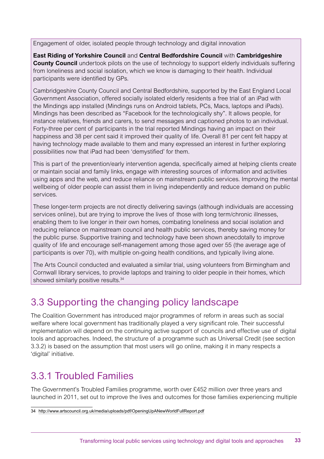Engagement of older, isolated people through technology and digital innovation

**East Riding of Yorkshire Council** and **Central Bedfordshire Council** with **Cambridgeshire County Council** undertook pilots on the use of technology to support elderly individuals suffering from loneliness and social isolation, which we know is damaging to their health. Individual participants were identified by GPs.

Cambridgeshire County Council and Central Bedfordshire, supported by the East England Local Government Association, offered socially isolated elderly residents a free trial of an iPad with the Mindings app installed (Mindings runs on Android tablets, PCs, Macs, laptops and iPads). Mindings has been described as "Facebook for the technologically shy". It allows people, for instance relatives, friends and carers, to send messages and captioned photos to an individual. Forty-three per cent of participants in the trial reported Mindings having an impact on their happiness and 38 per cent said it improved their quality of life. Overall 81 per cent felt happy at having technology made available to them and many expressed an interest in further exploring possibilities now that iPad had been 'demystified' for them.

This is part of the prevention/early intervention agenda, specifically aimed at helping clients create or maintain social and family links, engage with interesting sources of information and activities using apps and the web, and reduce reliance on mainstream public services. Improving the mental wellbeing of older people can assist them in living independently and reduce demand on public services.

These longer-term projects are not directly delivering savings (although individuals are accessing services online), but are trying to improve the lives of those with long term/chronic illnesses, enabling them to live longer in their own homes, combating loneliness and social isolation and reducing reliance on mainstream council and health public services, thereby saving money for the public purse. Supportive training and technology have been shown anecdotally to improve quality of life and encourage self-management among those aged over 55 (the average age of participants is over 70), with multiple on-going health conditions, and typically living alone.

The Arts Council conducted and evaluated a similar trial, using volunteers from Birmingham and Cornwall library services, to provide laptops and training to older people in their homes, which showed similarly positive results.<sup>34</sup>

## 3.3 Supporting the changing policy landscape

The Coalition Government has introduced major programmes of reform in areas such as social welfare where local government has traditionally played a very significant role. Their successful implementation will depend on the continuing active support of councils and effective use of digital tools and approaches. Indeed, the structure of a programme such as Universal Credit (see section 3.3.2) is based on the assumption that most users will go online, making it in many respects a 'digital' initiative.

## 3.3.1 Troubled Families

The Government's Troubled Families programme, worth over £452 million over three years and launched in 2011, set out to improve the lives and outcomes for those families experiencing multiple

<sup>34</sup> http://www.artscouncil.org.uk/media/uploads/pdf/OpeningUpANewWorldFullReport.pdf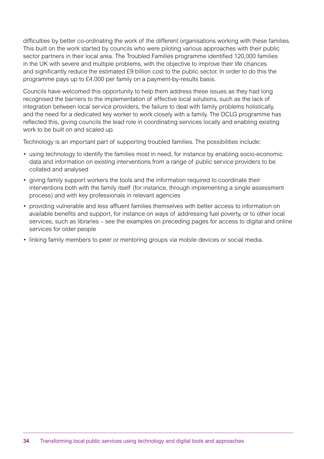difficulties by better co-ordinating the work of the different organisations working with these families. This built on the work started by councils who were piloting various approaches with their public sector partners in their local area. The Troubled Families programme identified 120,000 families in the UK with severe and multiple problems, with the objective to improve their life chances and significantly reduce the estimated £9 billion cost to the public sector. In order to do this the programme pays up to £4,000 per family on a payment-by-results basis.

Councils have welcomed this opportunity to help them address these issues as they had long recognised the barriers to the implementation of effective local solutions, such as the lack of integration between local service providers, the failure to deal with family problems holistically, and the need for a dedicated key worker to work closely with a family. The DCLG programme has reflected this, giving councils the lead role in coordinating services locally and enabling existing work to be built on and scaled up.

Technology is an important part of supporting troubled families. The possibilities include:

- using technology to identify the families most in need, for instance by enabling socio-economic data and information on existing interventions from a range of public service providers to be collated and analysed
- • giving family support workers the tools and the information required to coordinate their interventions both with the family itself (for instance, through implementing a single assessment process) and with key professionals in relevant agencies
- • providing vulnerable and less affluent families themselves with better access to information on available benefits and support, for instance on ways of addressing fuel poverty, or to other local services, such as libraries – see the examples on preceding pages for access to digital and online services for older people
- linking family members to peer or mentoring groups via mobile devices or social media.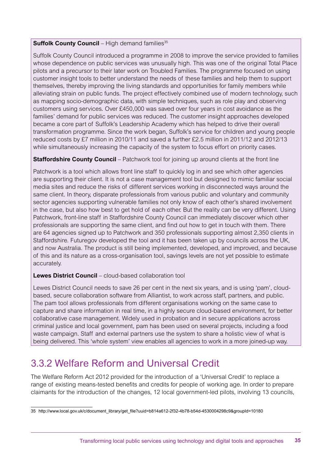#### **Suffolk County Council** – High demand families<sup>35</sup>

Suffolk County Council introduced a programme in 2008 to improve the service provided to families whose dependence on public services was unusually high. This was one of the original Total Place pilots and a precursor to their later work on Troubled Families. The programme focused on using customer insight tools to better understand the needs of these families and help them to support themselves, thereby improving the living standards and opportunities for family members while alleviating strain on public funds. The project effectively combined use of modern technology, such as mapping socio-demographic data, with simple techniques, such as role play and observing customers using services. Over £450,000 was saved over four years in cost avoidance as the families' demand for public services was reduced. The customer insight approaches developed became a core part of Suffolk's Leadership Academy which has helped to drive their overall transformation programme. Since the work began, Suffolk's service for children and young people reduced costs by £7 million in 2010/11 and saved a further £2.5 million in 2011/12 and 2012/13 while simultaneously increasing the capacity of the system to focus effort on priority cases.

#### **Staffordshire County Council** – Patchwork tool for joining up around clients at the front line

Patchwork is a tool which allows front line staff to quickly log in and see which other agencies are supporting their client. It is not a case management tool but designed to mimic familiar social media sites and reduce the risks of different services working in disconnected ways around the same client. In theory, disparate professionals from various public and voluntary and community sector agencies supporting vulnerable families not only know of each other's shared involvement in the case, but also how best to get hold of each other. But the reality can be very different. Using Patchwork, front-line staff in Staffordshire County Council can immediately discover which other professionals are supporting the same client, and find out how to get in touch with them. There are 64 agencies signed up to Patchwork and 350 professionals supporting almost 2,350 clients in Staffordshire. Futuregov developed the tool and it has been taken up by councils across the UK, and now Australia. The product is still being implemented, developed, and improved, and because of this and its nature as a cross-organisation tool, savings levels are not yet possible to estimate accurately.

#### **Lewes District Council** – cloud-based collaboration tool

Lewes District Council needs to save 26 per cent in the next six years, and is using 'pam', cloudbased, secure collaboration software from Alliantist, to work across staff, partners, and public. The pam tool allows professionals from different organisations working on the same case to capture and share information in real time, in a highly secure cloud-based environment, for better collaborative case management. Widely used in probation and in secure applications across criminal justice and local government, pam has been used on several projects, including a food waste campaign. Staff and external partners use the system to share a holistic view of what is being delivered. This 'whole system' view enables all agencies to work in a more joined-up way.

## 3.3.2 Welfare Reform and Universal Credit

The Welfare Reform Act 2012 provided for the introduction of a 'Universal Credit' to replace a range of existing means-tested benefits and credits for people of working age. In order to prepare claimants for the introduction of the changes, 12 local government-led pilots, involving 13 councils,

<sup>35</sup> http://www.local.gov.uk/c/document\_library/get\_file?uuid=b814a612-2f32-4b78-b54d-4530004298c9&groupId=10180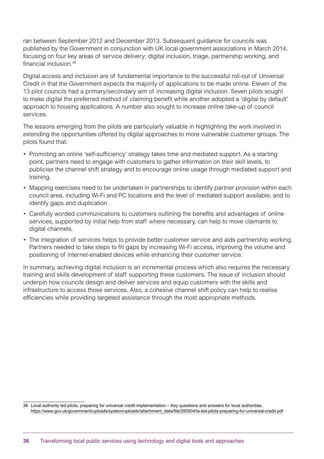ran between September 2012 and December 2013. Subsequent guidance for councils was published by the Government in conjunction with UK local government associations in March 2014, focusing on four key areas of service delivery: digital inclusion, triage, partnership working, and financial inclusion 36

Digital access and inclusion are of fundamental importance to the successful roll-out of Universal Credit in that the Government expects the majority of applications to be made online. Eleven of the 13 pilot councils had a primary/secondary aim of increasing digital inclusion. Seven pilots sought to make digital the preferred method of claiming benefit while another adopted a 'digital by default' approach to housing applications. A number also sought to increase online take-up of council services.

The lessons emerging from the pilots are particularly valuable in highlighting the work involved in extending the opportunities offered by digital approaches to more vulnerable customer groups. The pilots found that:

- Promoting an online 'self-sufficiency' strategy takes time and mediated support. As a starting point, partners need to engage with customers to gather information on their skill levels, to publicise the channel shift strategy and to encourage online usage through mediated support and training.
- Mapping exercises need to be undertaken in partnerships to identify partner provision within each council area, including Wi-Fi and PC locations and the level of mediated support available, and to identify gaps and duplication.
- • Carefully worded communications to customers outlining the benefits and advantages of online services, supported by initial help from staff where necessary, can help to move claimants to digital channels.
- The integration of services helps to provide better customer service and aids partnership working. Partners needed to take steps to fill gaps by increasing Wi-Fi access, improving the volume and positioning of internet-enabled devices while enhancing their customer service.

In summary, achieving digital inclusion is an incremental process which also requires the necessary training and skills development of staff supporting these customers. The issue of inclusion should underpin how councils design and deliver services and equip customers with the skills and infrastructure to access those services. Also, a cohesive channel shift policy can help to realise efficiencies while providing targeted assistance through the most appropriate methods.

<sup>36</sup> Local authority led pilots, preparing for universal credit implementation – Key questions and answers for local authorities. https://www.gov.uk/government/uploads/system/uploads/attachment\_data/file/295504/la-led-pilots-preparing-for-universal-credit.pdf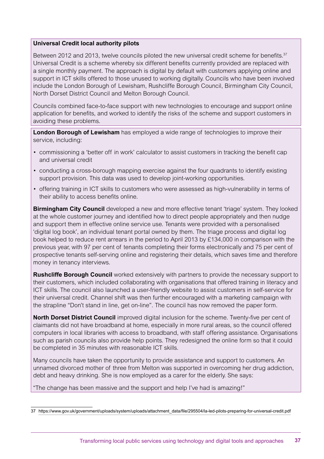#### **Universal Credit local authority pilots**

Between 2012 and 2013, twelve councils piloted the new universal credit scheme for benefits.<sup>37</sup> Universal Credit is a scheme whereby six different benefits currently provided are replaced with a single monthly payment. The approach is digital by default with customers applying online and support in ICT skills offered to those unused to working digitally. Councils who have been involved include the London Borough of Lewisham, Rushcliffe Borough Council, Birmingham City Council, North Dorset District Council and Melton Borough Council.

Councils combined face-to-face support with new technologies to encourage and support online application for benefits, and worked to identify the risks of the scheme and support customers in avoiding these problems.

**London Borough of Lewisham** has employed a wide range of technologies to improve their service, including:

- • commissioning a 'better off in work' calculator to assist customers in tracking the benefit cap and universal credit
- conducting a cross-borough mapping exercise against the four quadrants to identify existing support provision. This data was used to develop joint-working opportunities.
- • offering training in ICT skills to customers who were assessed as high-vulnerability in terms of their ability to access benefits online.

**Birmingham City Council** developed a new and more effective tenant 'triage' system. They looked at the whole customer journey and identified how to direct people appropriately and then nudge and support them in effective online service use. Tenants were provided with a personalised 'digital log book', an individual tenant portal owned by them. The triage process and digital log book helped to reduce rent arrears in the period to April 2013 by £134,000 in comparison with the previous year, with 97 per cent of tenants completing their forms electronically and 75 per cent of prospective tenants self-serving online and registering their details, which saves time and therefore money in tenancy interviews.

**Rushcliffe Borough Council** worked extensively with partners to provide the necessary support to their customers, which included collaborating with organisations that offered training in literacy and ICT skills. The council also launched a user-friendly website to assist customers in self-service for their universal credit. Channel shift was then further encouraged with a marketing campaign with the strapline "Don't stand in line, get on-line". The council has now removed the paper form.

**North Dorset District Council** improved digital inclusion for the scheme. Twenty-five per cent of claimants did not have broadband at home, especially in more rural areas, so the council offered computers in local libraries with access to broadband, with staff offering assistance. Organisations such as parish councils also provide help points. They redesigned the online form so that it could be completed in 35 minutes with reasonable ICT skills.

Many councils have taken the opportunity to provide assistance and support to customers. An unnamed divorced mother of three from Melton was supported in overcoming her drug addiction, debt and heavy drinking. She is now employed as a carer for the elderly. She says:

"The change has been massive and the support and help I've had is amazing!" <sup>1</sup>

<sup>37</sup> https://www.gov.uk/government/uploads/system/uploads/attachment\_data/file/295504/la-led-pilots-preparing-for-universal-credit.pdf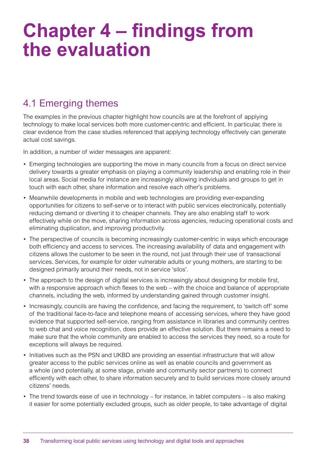## **Chapter 4 – findings from the evaluation**

## 4.1 Emerging themes

The examples in the previous chapter highlight how councils are at the forefront of applying technology to make local services both more customer-centric and efficient. In particular, there is clear evidence from the case studies referenced that applying technology effectively can generate actual cost savings.

In addition, a number of wider messages are apparent:

- Emerging technologies are supporting the move in many councils from a focus on direct service delivery towards a greater emphasis on playing a community leadership and enabling role in their local areas. Social media for instance are increasingly allowing individuals and groups to get in touch with each other, share information and resolve each other's problems.
- Meanwhile developments in mobile and web technologies are providing ever-expanding opportunities for citizens to self-serve or to interact with public services electronically, potentially reducing demand or diverting it to cheaper channels. They are also enabling staff to work effectively while on the move, sharing information across agencies, reducing operational costs and eliminating duplication, and improving productivity.
- The perspective of councils is becoming increasingly customer-centric in ways which encourage both efficiency and access to services. The increasing availability of data and engagement with citizens allows the customer to be seen in the round, not just through their use of transactional services. Services, for example for older vulnerable adults or young mothers, are starting to be designed primarily around their needs, not in service 'silos'.
- The approach to the design of digital services is increasingly about designing for mobile first, with a responsive approach which flexes to the web – with the choice and balance of appropriate channels, including the web, informed by understanding gained through customer insight.
- Increasingly, councils are having the confidence, and facing the requirement, to 'switch off' some of the traditional face-to-face and telephone means of accessing services, where they have good evidence that supported self-service, ranging from assistance in libraries and community centres to web chat and voice recognition, does provide an effective solution. But there remains a need to make sure that the whole community are enabled to access the services they need, so a route for exceptions will always be required.
- Initiatives such as the PSN and UKBD are providing an essential infrastructure that will allow greater access to the public services online as well as enable councils and government as a whole (and potentially, at some stage, private and community sector partners) to connect efficiently with each other, to share information securely and to build services more closely around citizens' needs.
- The trend towards ease of use in technology for instance, in tablet computers is also making it easier for some potentially excluded groups, such as older people, to take advantage of digital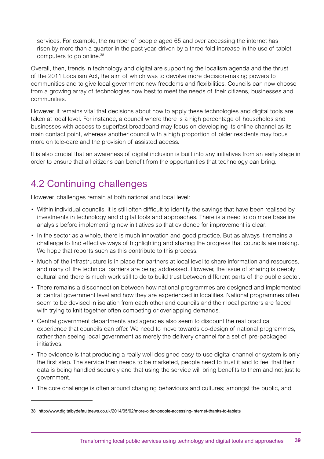services. For example, the number of people aged 65 and over accessing the internet has risen by more than a quarter in the past year, driven by a three-fold increase in the use of tablet computers to go online.38

Overall, then, trends in technology and digital are supporting the localism agenda and the thrust of the 2011 Localism Act, the aim of which was to devolve more decision-making powers to communities and to give local government new freedoms and flexibilities. Councils can now choose from a growing array of technologies how best to meet the needs of their citizens, businesses and communities.

However, it remains vital that decisions about how to apply these technologies and digital tools are taken at local level. For instance, a council where there is a high percentage of households and businesses with access to superfast broadband may focus on developing its online channel as its main contact point, whereas another council with a high proportion of older residents may focus more on tele-care and the provision of assisted access.

It is also crucial that an awareness of digital inclusion is built into any initiatives from an early stage in order to ensure that all citizens can benefit from the opportunities that technology can bring.

## 4.2 Continuing challenges

However, challenges remain at both national and local level:

- • Within individual councils, it is still often difficult to identify the savings that have been realised by investments in technology and digital tools and approaches. There is a need to do more baseline analysis before implementing new initiatives so that evidence for improvement is clear.
- In the sector as a whole, there is much innovation and good practice. But as always it remains a challenge to find effective ways of highlighting and sharing the progress that councils are making. We hope that reports such as this contribute to this process.
- Much of the infrastructure is in place for partners at local level to share information and resources, and many of the technical barriers are being addressed. However, the issue of sharing is deeply cultural and there is much work still to do to build trust between different parts of the public sector.
- There remains a disconnection between how national programmes are designed and implemented at central government level and how they are experienced in localities. National programmes often seem to be devised in isolation from each other and councils and their local partners are faced with trying to knit together often competing or overlapping demands.
- • Central government departments and agencies also seem to discount the real practical experience that councils can offer. We need to move towards co-design of national programmes, rather than seeing local government as merely the delivery channel for a set of pre-packaged initiatives.
- The evidence is that producing a really well designed easy-to-use digital channel or system is only the first step. The service then needs to be marketed, people need to trust it and to feel that their data is being handled securely and that using the service will bring benefits to them and not just to government.
- The core challenge is often around changing behaviours and cultures; amongst the public, and

<sup>38</sup> http://www.digitalbydefaultnews.co.uk/2014/05/02/more-older-people-accessing-internet-thanks-to-tablets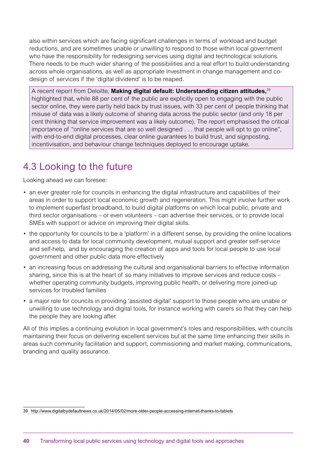also within services which are facing significant challenges in terms of workload and budget reductions, and are sometimes unable or unwilling to respond to those within local government who have the responsibility for redesigning services using digital and technological solutions. There needs to be much wider sharing of the possibilities and a real effort to build understanding across whole organisations, as well as appropriate investment in change management and codesign of services if the 'digital dividend' is to be reaped.

A recent report from Deloitte, **Making digital default: Understanding citizen attitudes,**<sup>39</sup> highlighted that, while 88 per cent of the public are explicitly open to engaging with the public sector online, they were partly held back by trust issues, with 33 per cent of people thinking that misuse of data was a likely outcome of sharing data across the public sector (and only 18 per cent thinking that service improvement was a likely outcome). The report emphasised the critical importance of "online services that are so well designed . . . that people will opt to go online", with end-to-end digital processes, clear online guarantees to build trust, and signposting, incentivisation, and behaviour change techniques deployed to encourage uptake.

## 4.3 Looking to the future

Looking ahead we can foresee:

- an ever greater role for councils in enhancing the digital infrastructure and capabilities of their areas in order to support local economic growth and regeneration. This might involve further work to implement superfast broadband, to build digital platforms on which local public, private and third sector organisations – or even volunteers – can advertise their services, or to provide local SMEs with support or advice on improving their digital skills.
- the opportunity for councils to be a 'platform' in a different sense, by providing the online locations and access to data for local community development, mutual support and greater self-service and self-help, and by encouraging the creation of apps and tools for local people to use local government and other public data more effectively
- • an increasing focus on addressing the cultural and organisational barriers to effective information sharing, since this is at the heart of so many initiatives to improve services and reduce costs – whether operating community budgets, improving public health, or delivering more joined-up services for troubled families
- a major role for councils in providing 'assisted digital' support to those people who are unable or unwilling to use technology and digital tools, for instance working with carers so that they can help the people they are looking after.

All of this implies a continuing evolution in local government's roles and responsibilities, with councils maintaining their focus on delivering excellent services but at the same time enhancing their skills in areas such community facilitation and support, commissioning and market making, communications, branding and quality assurance.

<sup>39</sup> http://www.digitalbydefaultnews.co.uk/2014/05/02/more-older-people-accessing-internet-thanks-to-tablets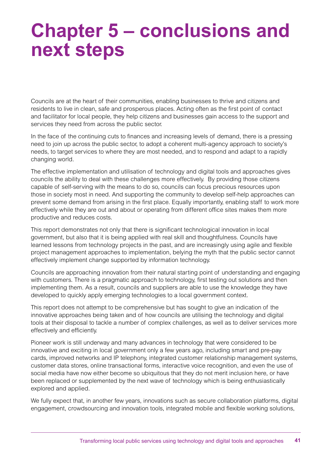## **Chapter 5 – conclusions and next steps**

Councils are at the heart of their communities, enabling businesses to thrive and citizens and residents to live in clean, safe and prosperous places. Acting often as the first point of contact and facilitator for local people, they help citizens and businesses gain access to the support and services they need from across the public sector.

In the face of the continuing cuts to finances and increasing levels of demand, there is a pressing need to join up across the public sector, to adopt a coherent multi-agency approach to society's needs, to target services to where they are most needed, and to respond and adapt to a rapidly changing world.

The effective implementation and utilisation of technology and digital tools and approaches gives councils the ability to deal with these challenges more effectively. By providing those citizens capable of self-serving with the means to do so, councils can focus precious resources upon those in society most in need. And supporting the community to develop self-help approaches can prevent some demand from arising in the first place. Equally importantly, enabling staff to work more effectively while they are out and about or operating from different office sites makes them more productive and reduces costs.

This report demonstrates not only that there is significant technological innovation in local government, but also that it is being applied with real skill and thoughtfulness. Councils have learned lessons from technology projects in the past, and are increasingly using agile and flexible project management approaches to implementation, belying the myth that the public sector cannot effectively implement change supported by information technology.

Councils are approaching innovation from their natural starting point of understanding and engaging with customers. There is a pragmatic approach to technology, first testing out solutions and then implementing them. As a result, councils and suppliers are able to use the knowledge they have developed to quickly apply emerging technologies to a local government context.

This report does not attempt to be comprehensive but has sought to give an indication of the innovative approaches being taken and of how councils are utilising the technology and digital tools at their disposal to tackle a number of complex challenges, as well as to deliver services more effectively and efficiently.

Pioneer work is still underway and many advances in technology that were considered to be innovative and exciting in local government only a few years ago, including smart and pre-pay cards, improved networks and IP telephony, integrated customer relationship management systems, customer data stores, online transactional forms, interactive voice recognition, and even the use of social media have now either become so ubiquitous that they do not merit inclusion here, or have been replaced or supplemented by the next wave of technology which is being enthusiastically explored and applied.

We fully expect that, in another few years, innovations such as secure collaboration platforms, digital engagement, crowdsourcing and innovation tools, integrated mobile and flexible working solutions,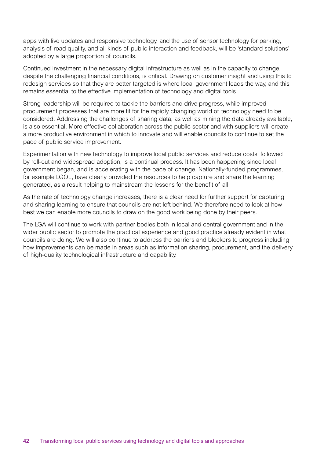apps with live updates and responsive technology, and the use of sensor technology for parking, analysis of road quality, and all kinds of public interaction and feedback, will be 'standard solutions' adopted by a large proportion of councils.

Continued investment in the necessary digital infrastructure as well as in the capacity to change, despite the challenging financial conditions, is critical. Drawing on customer insight and using this to redesign services so that they are better targeted is where local government leads the way, and this remains essential to the effective implementation of technology and digital tools.

Strong leadership will be required to tackle the barriers and drive progress, while improved procurement processes that are more fit for the rapidly changing world of technology need to be considered. Addressing the challenges of sharing data, as well as mining the data already available, is also essential. More effective collaboration across the public sector and with suppliers will create a more productive environment in which to innovate and will enable councils to continue to set the pace of public service improvement.

Experimentation with new technology to improve local public services and reduce costs, followed by roll-out and widespread adoption, is a continual process. It has been happening since local government began, and is accelerating with the pace of change. Nationally-funded programmes, for example LGOL, have clearly provided the resources to help capture and share the learning generated, as a result helping to mainstream the lessons for the benefit of all.

As the rate of technology change increases, there is a clear need for further support for capturing and sharing learning to ensure that councils are not left behind. We therefore need to look at how best we can enable more councils to draw on the good work being done by their peers.

The LGA will continue to work with partner bodies both in local and central government and in the wider public sector to promote the practical experience and good practice already evident in what councils are doing. We will also continue to address the barriers and blockers to progress including how improvements can be made in areas such as information sharing, procurement, and the delivery of high-quality technological infrastructure and capability.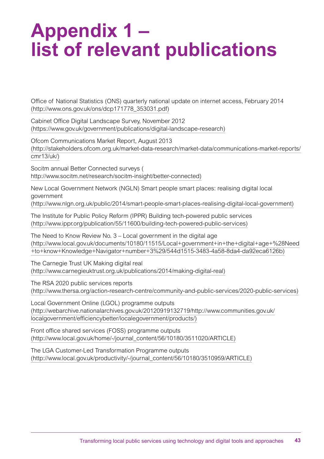## **Appendix 1 – list of relevant publications**

Office of National Statistics (ONS) quarterly national update on internet access, February 2014 (http://www.ons.gov.uk/ons/dcp171778\_353031.pdf)

Cabinet Office Digital Landscape Survey, November 2012 (https://www.gov.uk/government/publications/digital-landscape-research)

Ofcom Communications Market Report, August 2013 (http://stakeholders.ofcom.org.uk/market-data-research/market-data/communications-market-reports/ cmr13/uk/)

Socitm annual Better Connected surveys ( http://www.socitm.net/research/socitm-insight/better-connected)

New Local Government Network (NGLN) Smart people smart places: realising digital local government (http://www.nlgn.org.uk/public/2014/smart-people-smart-places-realising-digital-local-government)

The Institute for Public Policy Reform (IPPR) Building tech-powered public services (http://www.ippr.org/publication/55/11600/building-tech-powered-public-services)

The Need to Know Review No. 3 – Local government in the digital age (http://www.local.gov.uk/documents/10180/11515/Local+government+in+the+digital+age+%28Need +to+know+Knowledge+Navigator+number+3%29/544d1515-3483-4a58-8da4-da92eca6126b)

The Carnegie Trust UK Making digital real (http://www.carnegieuktrust.org.uk/publications/2014/making-digital-real)

The RSA 2020 public services reports (http://www.thersa.org/action-research-centre/community-and-public-services/2020-public-services)

Local Government Online (LGOL) programme outputs (http://webarchive.nationalarchives.gov.uk/20120919132719/http://www.communities.gov.uk/ localgovernment/efficiencybetter/localegovernment/products/)

Front office shared services (FOSS) programme outputs (http://www.local.gov.uk/home/-/journal\_content/56/10180/3511020/ARTICLE)

The LGA Customer-Led Transformation Programme outputs (http://www.local.gov.uk/productivity/-/journal\_content/56/10180/3510959/ARTICLE)